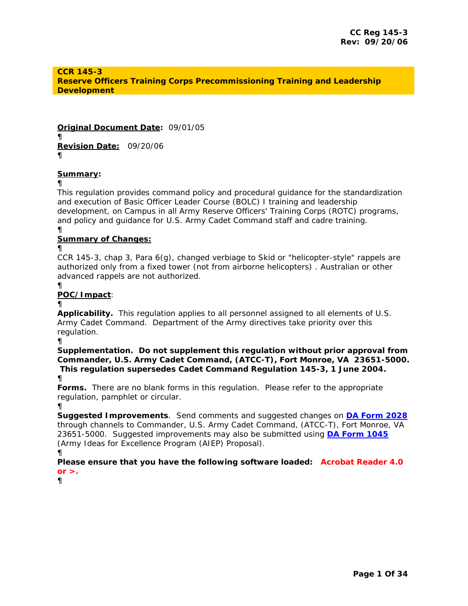# **CCR 145-3 Reserve Officers Training Corps Precommissioning Training and Leadership Development**

**Original Document Date:** *09/01/05* ¶ **Revision Date:** *09/20/06*   $\blacksquare$ 

**Summary***:*

¶

This regulation provides command policy and procedural guidance for the standardization and execution of Basic Officer Leader Course (BOLC) I training and leadership development, on Campus in all Army Reserve Officers' Training Corps (ROTC) programs, and policy and guidance for U.S. Army Cadet Command staff and cadre training. ¶

**Summary of Changes:**

 $\blacksquare$ 

CCR 145-3, chap 3, Para 6(g), changed verbiage to Skid or "helicopter-style" rappels are authorized only from a fixed tower (not from airborne helicopters) . Australian or other advanced rappels are not authorized.

¶

# **POC/Impact**:

#### ¶

**Applicability.** This regulation applies to all personnel assigned to all elements of U.S. Army Cadet Command. Department of the Army directives take priority over this regulation.

¶

**Supplementation. Do not supplement this regulation without prior approval from Commander, U.S. Army Cadet Command, (ATCC-T), Fort Monroe, VA 23651-5000. This regulation supersedes Cadet Command Regulation 145-3, 1 June 2004.**  ¶

**Forms.** There are no blank forms in this regulation. Please refer to the appropriate regulation, pamphlet or circular.

¶

**Suggested Improvements**. Send comments and suggested changes on **[DA Form 2028](http://www.army.mil/usapa/eforms/pureEdge/A2028.XFDL)** through channels to Commander, U.S. Army Cadet Command, (ATCC-T), Fort Monroe, VA 23651-5000. Suggested improvements may also be submitted using **[DA Form 1045](http://www.army.mil/usapa/eforms/pureEdge/A1045.XFDL)** (Army Ideas for Excellence Program (AIEP) Proposal).

 $<sup>1</sup>$ </sup>

*Please ensure that you have the following software loaded: Acrobat Reader 4.0 or >.* 

 $<sup>1</sup>$ </sup>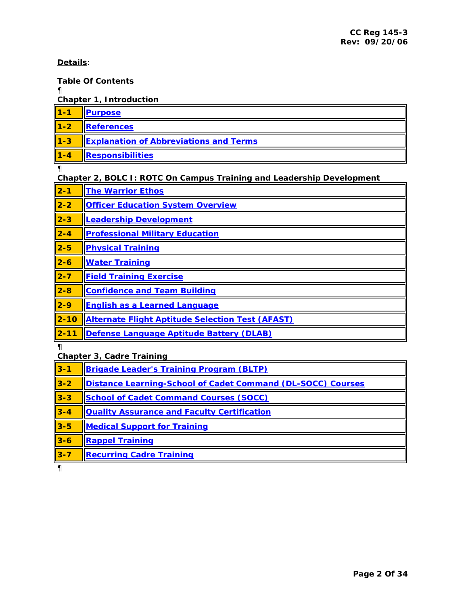# <span id="page-1-0"></span>**Details**:

# **Table Of Contents**

 $<sup>1</sup>$ </sup>

**Chapter 1, Introduction** 

| $\vert$ 1-1    | <b>Purpose</b>                                |
|----------------|-----------------------------------------------|
| $\vert$ 1-2    | References                                    |
| $\vert$ 1-3    | <b>Explanation of Abbreviations and Terms</b> |
| $\vert$ 1-4    | Responsibilities                              |
| $\blacksquare$ |                                               |

¶

# **Chapter 2, BOLC I: ROTC On Campus Training and Leadership Development**

| $\vert$ 2-1  | <b>The Warrior Ethos</b>                                |
|--------------|---------------------------------------------------------|
| $\vert$ 2-2  | <b>Officer Education System Overview</b>                |
| $\vert$ 2-3  | <b>Leadership Development</b>                           |
| $2 - 4$      | <b>Professional Military Education</b>                  |
| $\vert$ 2-5  | <b>Physical Training</b>                                |
| $2-6$        | <b>Water Training</b>                                   |
| $2 - 7$      | <b>Field Training Exercise</b>                          |
| $\vert$ 2-8  | <b>Confidence and Team Building</b>                     |
| $2-9$        | <b>English as a Learned Language</b>                    |
| $\vert$ 2-10 | <b>Alternate Flight Aptitude Selection Test (AFAST)</b> |
| $\vert$ 2-11 | Defense Language Aptitude Battery (DLAB)                |

**¶** 

**Chapter 3, Cadre Training** 

| $\vert$ 3-1 | <b>Brigade Leader's Training Program (BLTP)</b>             |
|-------------|-------------------------------------------------------------|
| $3-2$       | Distance Learning-School of Cadet Command (DL-SOCC) Courses |
| $3 - 3$     | <b>School of Cadet Command Courses (SOCC)</b>               |
| $3 - 4$     | <b>Quality Assurance and Faculty Certification</b>          |
| $3-5$       | <b>Medical Support for Training</b>                         |
| $3-6$       | <b>Rappel Training</b>                                      |
| $3 - 7$     | <b>Recurring Cadre Training</b>                             |

¶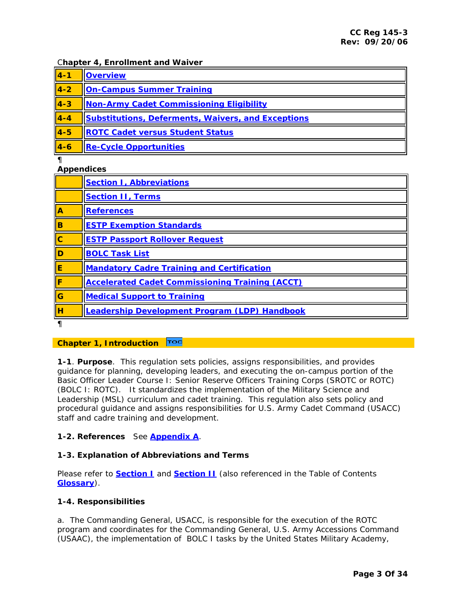# <span id="page-2-0"></span>C**hapter 4, Enrollment and Waiver**

| $\overline{4-1}$    | <b>Overview</b>                                           |
|---------------------|-----------------------------------------------------------|
| $14-2$              | <b>On-Campus Summer Training</b>                          |
| $14-3$              | Non-Army Cadet Commissioning Eligibility                  |
| $4-4$               | <b>Substitutions, Deferments, Waivers, and Exceptions</b> |
| $\vert 4 - 5 \vert$ | <b>ROTC Cadet versus Student Status</b>                   |
| $\vert 4-6 \vert$   | <b>Re-Cycle Opportunities</b>                             |
|                     |                                                           |

**Appendices** 

| <b>Appendices</b>       |                                                        |
|-------------------------|--------------------------------------------------------|
|                         | <b>Section I, Abbreviations</b>                        |
|                         | <b>Section II, Terms</b>                               |
| $\overline{A}$          | <b>References</b>                                      |
| B                       | <b>ESTP Exemption Standards</b>                        |
| $\overline{\text{c}}$   | <b>ESTP Passport Rollover Request</b>                  |
| $\overline{\mathsf{D}}$ | <b>BOLC Task List</b>                                  |
| $\overline{\mathbf{E}}$ | <b>Mandatory Cadre Training and Certification</b>      |
| lF                      | <b>Accelerated Cadet Commissioning Training (ACCT)</b> |
| <b>G</b>                | <b>Medical Support to Training</b>                     |
| lн                      | <b>Leadership Development Program (LDP) Handbook</b>   |
|                         |                                                        |

#### TOC **Chapter 1, Introduction**

**1-1**. **Purpose**. This regulation sets policies, assigns responsibilities, and provides guidance for planning, developing leaders, and executing the on-campus portion of the Basic Officer Leader Course I: Senior Reserve Officers Training Corps (SROTC or ROTC) (BOLC I: ROTC). It standardizes the implementation of the Military Science and Leadership (MSL) curriculum and cadet training. This regulation also sets policy and procedural guidance and assigns responsibilities for U.S. Army Cadet Command (USACC) staff and cadre training and development.

# **1-2. References** See **[Appendix A](#page-31-0)**.

# **1-3. Explanation of Abbreviations and Terms**

Please refer to **[Section I](#page-24-0)** and **[Section II](#page-26-0)** (also referenced in the Table of Contents **[Glossary](http://my.usaac.army.mil/portal/dt/usacc/HQ/library/Glossary/)**).

# **1-4. Responsibilities**

a. The Commanding General, USACC, is responsible for the execution of the ROTC program and coordinates for the Commanding General, U.S. Army Accessions Command (USAAC), the implementation of BOLC I tasks by the United States Military Academy,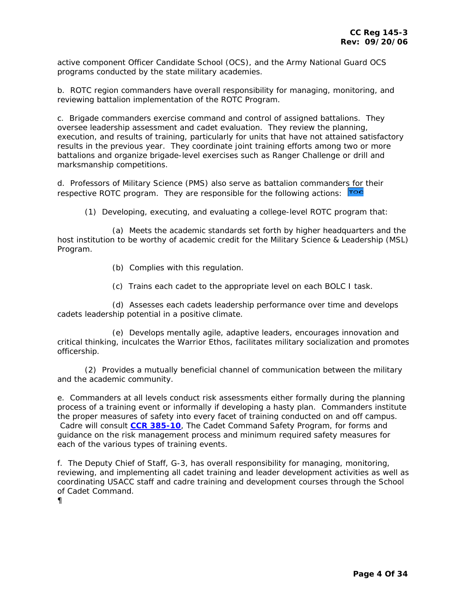active component Officer Candidate School (OCS), and the Army National Guard OCS programs conducted by the state military academies.

b. ROTC region commanders have overall responsibility for managing, monitoring, and reviewing battalion implementation of the ROTC Program.

c. Brigade commanders exercise command and control of assigned battalions. They oversee leadership assessment and cadet evaluation. They review the planning, execution, and results of training, particularly for units that have not attained satisfactory results in the previous year. They coordinate joint training efforts among two or more battalions and organize brigade-level exercises such as Ranger Challenge or drill and marksmanship competitions.

d. Professors of Military Science (PMS) also serve as battalion commande[rs for](#page-1-0) their respective ROTC program. They are responsible for the following actions: Toc

(1) Developing, executing, and evaluating a college-level ROTC program that:

 (a) Meets the academic standards set forth by higher headquarters and the host institution to be worthy of academic credit for the Military Science & Leadership (MSL) Program.

(b) Complies with this regulation.

(c) Trains each cadet to the appropriate level on each BOLC I task.

 (d) Assesses each cadets leadership performance over time and develops cadets leadership potential in a positive climate.

 (e) Develops mentally agile, adaptive leaders, encourages innovation and critical thinking, inculcates the Warrior Ethos, facilitates military socialization and promotes officership.

 (2) Provides a mutually beneficial channel of communication between the military and the academic community.

e. Commanders at all levels conduct risk assessments either formally during the planning process of a training event or informally if developing a hasty plan. Commanders institute the proper measures of safety into every facet of training conducted on and off campus. Cadre will consult **[CCR 385-10](http://my.usaac.army.mil/portal/dt/usacc/HQ/library/CC_Regulations/)**, The Cadet Command Safety Program, for forms and guidance on the risk management process and minimum required safety measures for each of the various types of training events.

f. The Deputy Chief of Staff, G-3, has overall responsibility for managing, monitoring, reviewing, and implementing all cadet training and leader development activities as well as coordinating USACC staff and cadre training and development courses through the School of Cadet Command.

 $<sup>1</sup>$ </sup>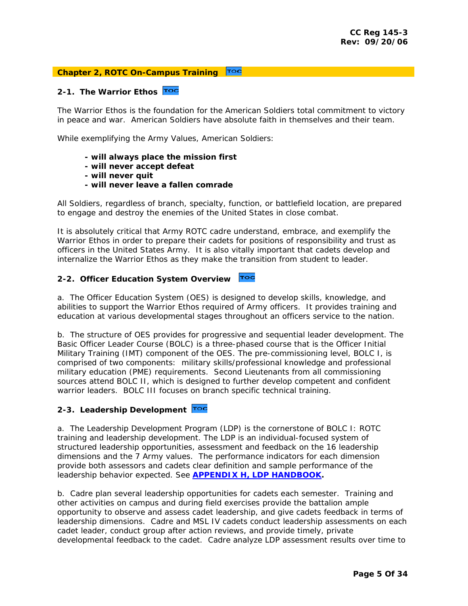# <span id="page-4-0"></span>**Chapter 2, ROTC On-Campus Training**

# **2-1. The Warrior Ethos**

The Warrior Ethos is the foundation for the American Soldiers total commitment to victory in peace and war. American Soldiers have absolute faith in themselves and their team.

While exemplifying the Army Values, American Soldiers:

- **will always place the mission first**
- **will never accept defeat**
- **will never quit**
- **will never leave a fallen comrade**

All Soldiers, regardless of branch, specialty, function, or battlefield location, are prepared to engage and destroy the enemies of the United States in close combat.

It is absolutely critical that Army ROTC cadre understand, embrace, and exemplify the Warrior Ethos in order to prepare their cadets for positions of responsibility and trust as officers in the United States Army. It is also vitally important that cadets develop and internalize the Warrior Ethos as they make the transition from student to leader.

#### TOC **2-2. Officer Education System Overview**

a. The Officer Education System (OES) is designed to develop skills, knowledge, and abilities to support the Warrior Ethos required of Army officers. It provides training and education at various developmental stages throughout an officers service to the nation.

b. The structure of OES provides for progressive and sequential leader development. The Basic Officer Leader Course (BOLC) is a three-phased course that is the Officer Initial Military Training (IMT) component of the OES. The pre-commissioning level, BOLC I, is comprised of two components: military skills/professional knowledge and professional military education (PME) requirements. Second Lieutenants from all commissioning sources attend BOLC II, which is designed to further develop competent and confident warrior leaders. BOLC III focuses on branch specific technical training.

# **2-3. Leadership Development**

a. The Leadership Development Program (LDP) is the cornerstone of BOLC I: ROTC training and leadership development. The LDP is an individual-focused system of structured leadership opportunities, assessment and feedback on the 16 leadership dimensions and the 7 Army values. The performance indicators for each dimension provide both assessors and cadets clear definition and sample performance of the leadership behavior expected. See **[APPENDIX H, LDP HANDBOOK.](http://my.usaac.army.mil/downloads/usacc/HQ/library/CC_Regulations/145-3/AP_H_CCR_145_3.doc)** 

b. Cadre plan several leadership opportunities for cadets each semester. Training and other activities on campus and during field exercises provide the battalion ample opportunity to observe and assess cadet leadership, and give cadets feedback in terms of leadership dimensions. Cadre and MSL IV cadets conduct leadership assessments on each cadet leader, conduct group after action reviews, and provide timely, private developmental feedback to the cadet. Cadre analyze LDP assessment results over time to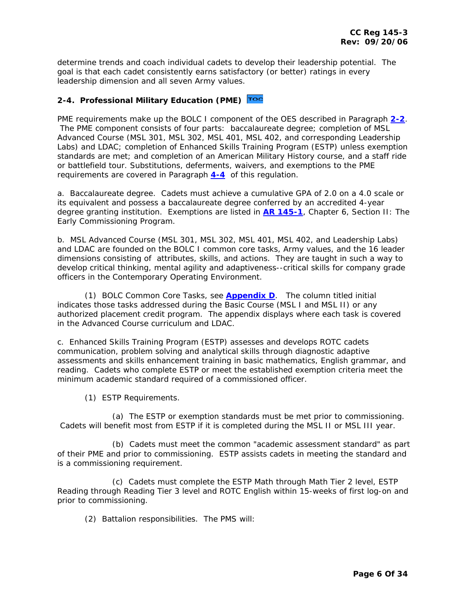<span id="page-5-0"></span>determine trends and coach individual cadets to develop their leadership potential. The goal is that each cadet consistently earns satisfactory (or better) ratings in every leadership dimension and all seven Army values.

# **2-4. Professional Military Education (PME)**

PME requirements make up the BOLC I component of the OES described in Paragraph **[2-2](#page-4-0)**. The PME component consists of four parts: baccalaureate degree; completion of MSL Advanced Course (MSL 301, MSL 302, MSL 401, MSL 402, and corresponding Leadership Labs) and LDAC; completion of Enhanced Skills Training Program (ESTP) unless exemption standards are met; and completion of an American Military History course, and a staff ride or battlefield tour. Substitutions, deferments, waivers, and exemptions to the PME requirements are covered in Paragraph **[4-4](#page-20-0)** of this regulation.

a. Baccalaureate degree. Cadets must achieve a cumulative GPA of 2.0 on a 4.0 scale or its equivalent and possess a baccalaureate degree conferred by an accredited 4-year degree granting institution. Exemptions are listed in **[AR 145-1](http://www.army.mil/usapa/epubs/pdf/r145_1.pdf)**, Chapter 6, Section II: The Early Commissioning Program.

b. MSL Advanced Course (MSL 301, MSL 302, MSL 401, MSL 402, and Leadership Labs) and LDAC are founded on the BOLC I common core tasks, Army values, and the 16 leader dimensions consisting of attributes, skills, and actions. They are taught in such a way to develop critical thinking, mental agility and adaptiveness--critical skills for company grade officers in the Contemporary Operating Environment.

 (1) BOLC Common Core Tasks, see **[Appendix D](http://my.usaac.army.mil/downloads/usacc/HQ/library/CC_Regulations/145-3/AP_D_CCR_145_3.doc)**. The column titled initial indicates those tasks addressed during the Basic Course (MSL I and MSL II) or any authorized placement credit program. The appendix displays where each task is covered in the Advanced Course curriculum and LDAC.

c. Enhanced Skills Training Program (ESTP) assesses and develops ROTC cadets communication, problem solving and analytical skills through diagnostic adaptive assessments and skills enhancement training in basic mathematics, English grammar, and reading. Cadets who complete ESTP or meet the established exemption criteria meet the minimum academic standard required of a commissioned officer.

(1) ESTP Requirements.

 (a) The ESTP or exemption standards must be met prior to commissioning. Cadets will benefit most from ESTP if it is completed during the MSL II or MSL III year.

 (b) Cadets must meet the common "academic assessment standard" as part of their PME and prior to commissioning. ESTP assists cadets in meeting the standard and is a commissioning requirement.

 (c) Cadets must complete the ESTP Math through Math Tier 2 level, ESTP Reading through Reading Tier 3 level and ROTC English within 15-weeks of first log-on and prior to commissioning.

(2) Battalion responsibilities. The PMS will: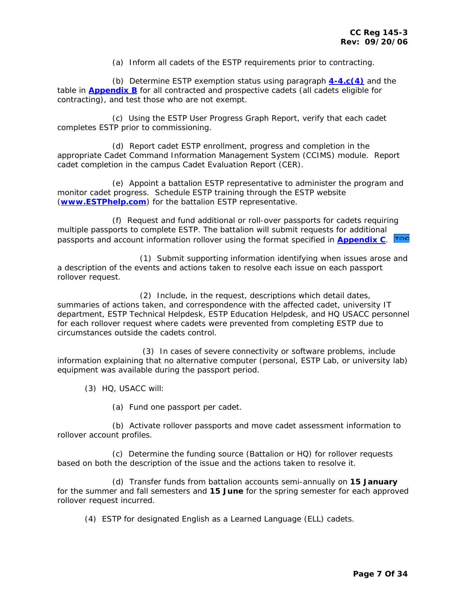(a) Inform all cadets of the ESTP requirements prior to contracting.

 (b) Determine ESTP exemption status using paragraph **[4-4.c\(4\)](#page-21-0)** and the table in **[Appendix B](http://my.usaac.army.mil/downloads/usacc/HQ/library/CC_Regulations/145-3/AP_B_CCR_145_3.doc)** for all contracted and prospective cadets (all cadets eligible for contracting), and test those who are not exempt.

 (c) Using the ESTP User Progress Graph Report, verify that each cadet completes ESTP prior to commissioning.

 (d) Report cadet ESTP enrollment, progress and completion in the appropriate Cadet Command Information Management System (CCIMS) module. Report cadet completion in the campus Cadet Evaluation Report (CER).

 (e) Appoint a battalion ESTP representative to administer the program and monitor cadet progress. Schedule ESTP training through the ESTP website (**[www.ESTPhelp.com](http://www.estphelp.com/)**) for the battalion ESTP representative.

 (f) Request and fund additional or roll-over passports for cadets requiring multiple passports to complete ESTP. The battalion will submit requests for additional passports and account information rollover using the format specified in **[Appendix C](http://my.usaac.army.mil/downloads/usacc/HQ/library/CC_Regulations/145-3/AP_C_CCR_145_3.doc)**.

 (1) Submit supporting information identifying when issues arose and a description of the events and actions taken to resolve each issue on each passport rollover request.

 (2) Include, in the request, descriptions which detail dates, summaries of actions taken, and correspondence with the affected cadet, university IT department, ESTP Technical Helpdesk, ESTP Education Helpdesk, and HQ USACC personnel for each rollover request where cadets were prevented from completing ESTP due to circumstances outside the cadets control.

 (3) In cases of severe connectivity or software problems, include information explaining that no alternative computer (personal, ESTP Lab, or university lab) equipment was available during the passport period.

(3) HQ, USACC will:

(a) Fund one passport per cadet.

 (b) Activate rollover passports and move cadet assessment information to rollover account profiles.

 (c) Determine the funding source (Battalion or HQ) for rollover requests based on both the description of the issue and the actions taken to resolve it.

 (d) Transfer funds from battalion accounts semi-annually on **15 January** for the summer and fall semesters and **15 June** for the spring semester for each approved rollover request incurred.

(4) ESTP for designated English as a Learned Language (ELL) cadets.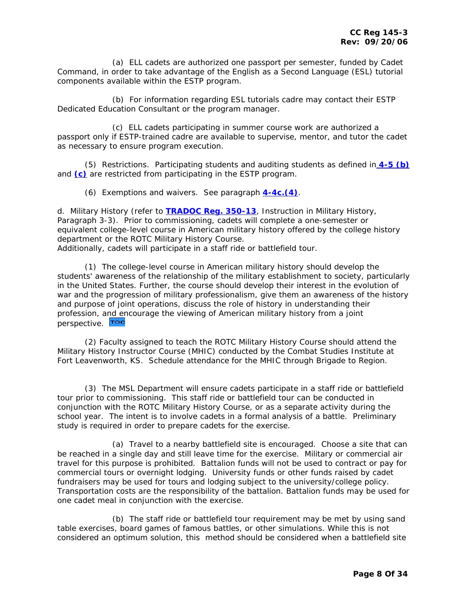(a) ELL cadets are authorized one passport per semester, funded by Cadet Command, in order to take advantage of the English as a Second Language (ESL) tutorial components available within the ESTP program.

 (b) For information regarding ESL tutorials cadre may contact their ESTP Dedicated Education Consultant or the program manager.

 (c) ELL cadets participating in summer course work are authorized a passport only if ESTP-trained cadre are available to supervise, mentor, and tutor the cadet as necessary to ensure program execution.

 (5) Restrictions. Participating students and auditing students as defined in **[4-5 \(b\)](#page-22-0)** and **[\(c\)](#page-22-0)** are restricted from participating in the ESTP program.

(6) Exemptions and waivers. See paragraph **[4-4c.\(4\)](#page-21-0)**.

d. Military History (refer to **[TRADOC Reg. 350-13](http://www.tradoc.army.mil/tpubs/regs/r350-13.htm)**, Instruction in Military History, Paragraph 3-3). Prior to commissioning, cadets will complete a one-semester or equivalent college-level course in American military history offered by the college history department or the ROTC Military History Course.

Additionally, cadets will participate in a staff ride or battlefield tour.

 (1) The college-level course in American military history should develop the students' awareness of the relationship of the military establishment to society, particularly in the United States. Further, the course should develop their interest in the evolution of war and the progression of military professionalism, give them an awareness of the history and purpose of joint operations, discuss the role of history in understanding their profession, a[nd en](#page-1-0)courage the viewing of American military history from a joint perspective. Toc

 (2) Faculty assigned to teach the ROTC Military History Course should attend the Military History Instructor Course (MHIC) conducted by the Combat Studies Institute at Fort Leavenworth, KS. Schedule attendance for the MHIC through Brigade to Region.

 (3) The MSL Department will ensure cadets participate in a staff ride or battlefield tour prior to commissioning. This staff ride or battlefield tour can be conducted in conjunction with the ROTC Military History Course, or as a separate activity during the school year. The intent is to involve cadets in a formal analysis of a battle. Preliminary study is required in order to prepare cadets for the exercise.

 (a) Travel to a nearby battlefield site is encouraged. Choose a site that can be reached in a single day and still leave time for the exercise. Military or commercial air travel for this purpose is prohibited. Battalion funds will not be used to contract or pay for commercial tours or overnight lodging. University funds or other funds raised by cadet fundraisers may be used for tours and lodging subject to the university/college policy. Transportation costs are the responsibility of the battalion. Battalion funds may be used for one cadet meal in conjunction with the exercise.

 (b) The staff ride or battlefield tour requirement may be met by using sand table exercises, board games of famous battles, or other simulations. While this is not considered an optimum solution, this method should be considered when a battlefield site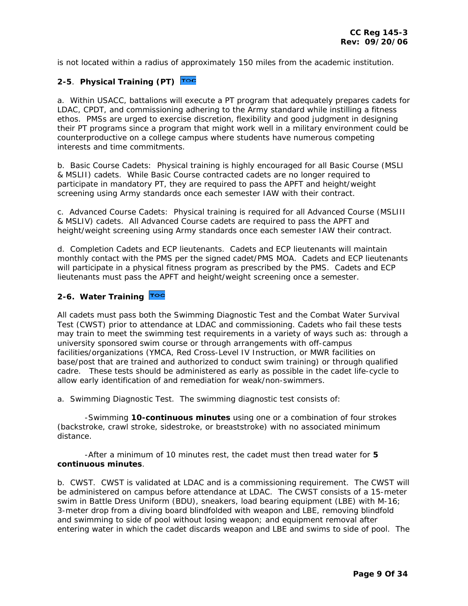<span id="page-8-0"></span>is not located within a radius of approximately 150 miles from the academic institution.

# **2-5**. **Physical Training (PT)**

a. Within USACC, battalions will execute a PT program that adequately prepares cadets for LDAC, CPDT, and commissioning adhering to the Army standard while instilling a fitness ethos. PMSs are urged to exercise discretion, flexibility and good judgment in designing their PT programs since a program that might work well in a military environment could be counterproductive on a college campus where students have numerous competing interests and time commitments.

b. Basic Course Cadets: Physical training is highly encouraged for all Basic Course (MSLI & MSLII) cadets. While Basic Course contracted cadets are no longer required to participate in mandatory PT, they are required to pass the APFT and height/weight screening using Army standards once each semester IAW with their contract.

c. Advanced Course Cadets: Physical training is required for all Advanced Course (MSLIII & MSLIV) cadets. All Advanced Course cadets are required to pass the APFT and height/weight screening using Army standards once each semester IAW their contract.

d. Completion Cadets and ECP lieutenants. Cadets and ECP lieutenants will maintain monthly contact with the PMS per the signed cadet/PMS MOA. Cadets and ECP lieutenants will participate in a physical fitness program as prescribed by the PMS. Cadets and ECP lieutenants must pass the APFT and height/weight screening once a semester.

# **2-6. Water Training**

All cadets must pass both the Swimming Diagnostic Test and the Combat Water Survival Test (CWST) prior to attendance at LDAC and commissioning. Cadets who fail these tests may train to meet the swimming test requirements in a variety of ways such as: through a university sponsored swim course or through arrangements with off-campus facilities/organizations (YMCA, Red Cross-Level IV Instruction, or MWR facilities on base/post that are trained and authorized to conduct swim training) or through qualified cadre. These tests should be administered as early as possible in the cadet life-cycle to allow early identification of and remediation for weak/non-swimmers.

a. Swimming Diagnostic Test. The swimming diagnostic test consists of:

 -Swimming **10-continuous minutes** using one or a combination of four strokes (backstroke, crawl stroke, sidestroke, or breaststroke) with no associated minimum distance.

 -After a minimum of 10 minutes rest, the cadet must then tread water for **5 continuous minutes**.

b. CWST. CWST is validated at LDAC and is a commissioning requirement. The CWST will be administered on campus before attendance at LDAC. The CWST consists of a 15-meter swim in Battle Dress Uniform (BDU), sneakers, load bearing equipment (LBE) with M-16; 3-meter drop from a diving board blindfolded with weapon and LBE, removing blindfold and swimming to side of pool without losing weapon; and equipment removal after entering water in which the cadet discards weapon and LBE and swims to side of pool. The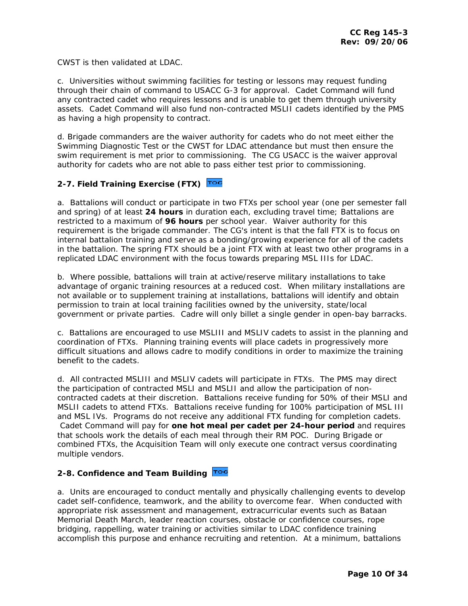<span id="page-9-0"></span>CWST is then validated at LDAC.

c. Universities without swimming facilities for testing or lessons may request funding through their chain of command to USACC G-3 for approval. Cadet Command will fund any contracted cadet who requires lessons and is unable to get them through university assets. Cadet Command will also fund non-contracted MSLII cadets identified by the PMS as having a high propensity to contract.

d. Brigade commanders are the waiver authority for cadets who do not meet either the Swimming Diagnostic Test or the CWST for LDAC attendance but must then ensure the swim requirement is met prior to commissioning. The CG USACC is the waiver approval authority for cadets who are not able to pass either test prior to commissioning.

# **2-7. Field Training Exercise (FTX)**

a. Battalions will conduct or participate in two FTXs per school year (one per semester fall and spring) of at least **24 hours** in duration each, excluding travel time; Battalions are restricted to a maximum of **96 hours** per school year. Waiver authority for this requirement is the brigade commander. The CG's intent is that the fall FTX is to focus on internal battalion training and serve as a bonding/growing experience for all of the cadets in the battalion. The spring FTX should be a joint FTX with at least two other programs in a replicated LDAC environment with the focus towards preparing MSL IIIs for LDAC.

b. Where possible, battalions will train at active/reserve military installations to take advantage of organic training resources at a reduced cost. When military installations are not available or to supplement training at installations, battalions will identify and obtain permission to train at local training facilities owned by the university, state/local government or private parties. Cadre will only billet a single gender in open-bay barracks.

c. Battalions are encouraged to use MSLIII and MSLIV cadets to assist in the planning and coordination of FTXs. Planning training events will place cadets in progressively more difficult situations and allows cadre to modify conditions in order to maximize the training benefit to the cadets.

d. All contracted MSLIII and MSLIV cadets will participate in FTXs. The PMS may direct the participation of contracted MSLI and MSLII and allow the participation of noncontracted cadets at their discretion. Battalions receive funding for 50% of their MSLI and MSLII cadets to attend FTXs. Battalions receive funding for 100% participation of MSL III and MSL IVs. Programs do not receive any additional FTX funding for completion cadets. Cadet Command will pay for **one hot meal per cadet per 24-hour period** and requires that schools work the details of each meal through their RM POC. During Brigade or combined FTXs, the Acquisition Team will only execute one contract versus coordinating multiple vendors.

# **2-8. Confidence and Team Building**

a. Units are encouraged to conduct mentally and physically challenging events to develop cadet self-confidence, teamwork, and the ability to overcome fear. When conducted with appropriate risk assessment and management, extracurricular events such as Bataan Memorial Death March, leader reaction courses, obstacle or confidence courses, rope bridging, rappelling, water training or activities similar to LDAC confidence training accomplish this purpose and enhance recruiting and retention. At a minimum, battalions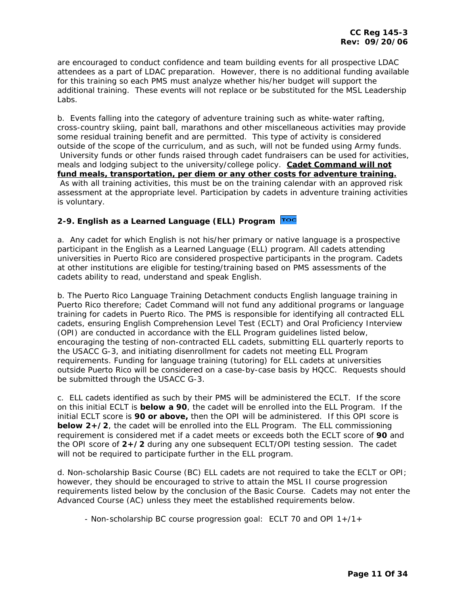<span id="page-10-0"></span>are encouraged to conduct confidence and team building events for all prospective LDAC attendees as a part of LDAC preparation. However, there is no additional funding available for this training so each PMS must analyze whether his/her budget will support the additional training. These events will not replace or be substituted for the MSL Leadership Labs.

b. Events falling into the category of adventure training such as white-water rafting, cross-country skiing, paint ball, marathons and other miscellaneous activities may provide some residual training benefit and are permitted. This type of activity is considered outside of the scope of the curriculum, and as such, will not be funded using Army funds. University funds or other funds raised through cadet fundraisers can be used for activities, meals and lodging subject to the university/college policy. **Cadet Command will not fund meals, transportation, per diem or any other costs for adventure training.** As with all training activities, this must be on the training calendar with an approved risk assessment at the appropriate level. Participation by cadets in adventure training activities is voluntary.

# **2-9. English as a Learned Language (ELL) Program**

a. Any cadet for which English is not his/her primary or native language is a prospective participant in the English as a Learned Language (ELL) program. All cadets attending universities in Puerto Rico are considered prospective participants in the program. Cadets at other institutions are eligible for testing/training based on PMS assessments of the cadets ability to read, understand and speak English.

b. The Puerto Rico Language Training Detachment conducts English language training in Puerto Rico therefore; Cadet Command will not fund any additional programs or language training for cadets in Puerto Rico. The PMS is responsible for identifying all contracted ELL cadets, ensuring English Comprehension Level Test (ECLT) and Oral Proficiency Interview (OPI) are conducted in accordance with the ELL Program guidelines listed below, encouraging the testing of non-contracted ELL cadets, submitting ELL quarterly reports to the USACC G-3, and initiating disenrollment for cadets not meeting ELL Program requirements. Funding for language training (tutoring) for ELL cadets at universities outside Puerto Rico will be considered on a case-by-case basis by HQCC. Requests should be submitted through the USACC G-3.

c. ELL cadets identified as such by their PMS will be administered the ECLT. If the score on this initial ECLT is **below a 90**, the cadet will be enrolled into the ELL Program. If the initial ECLT score is **90 or above,** then the OPI will be administered. If this OPI score is **below 2+/2**, the cadet will be enrolled into the ELL Program. The ELL commissioning requirement is considered met if a cadet meets or exceeds both the ECLT score of **90** and the OPI score of **2+/2** during any one subsequent ECLT/OPI testing session. The cadet will not be required to participate further in the ELL program.

d. Non-scholarship Basic Course (BC) ELL cadets are not required to take the ECLT or OPI; however, they should be encouraged to strive to attain the MSL II course progression requirements listed below by the conclusion of the Basic Course. Cadets may not enter the Advanced Course (AC) unless they meet the established requirements below.

- Non-scholarship BC course progression goal: ECLT 70 and OPI 1+/1+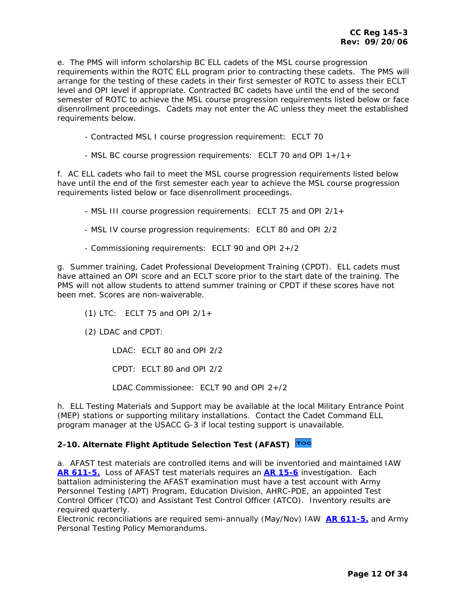<span id="page-11-0"></span>e. The PMS will inform scholarship BC ELL cadets of the MSL course progression requirements within the ROTC ELL program prior to contracting these cadets. The PMS will arrange for the testing of these cadets in their first semester of ROTC to assess their ECLT level and OPI level if appropriate. Contracted BC cadets have until the end of the second semester of ROTC to achieve the MSL course progression requirements listed below or face disenrollment proceedings. Cadets may not enter the AC unless they meet the established requirements below.

- Contracted MSL I course progression requirement: ECLT 70

- MSL BC course progression requirements: ECLT 70 and OPI 1+/1+

f. AC ELL cadets who fail to meet the MSL course progression requirements listed below have until the end of the first semester each year to achieve the MSL course progression requirements listed below or face disenrollment proceedings.

- MSL III course progression requirements: ECLT 75 and OPI 2/1+

- MSL IV course progression requirements: ECLT 80 and OPI 2/2
- Commissioning requirements: ECLT 90 and OPI 2+/2

g. Summer training, Cadet Professional Development Training (CPDT). ELL cadets must have attained an OPI score and an ECLT score prior to the start date of the training. The PMS will not allow students to attend summer training or CPDT if these scores have not been met. Scores are non-waiverable.

- (1) LTC: ECLT 75 and OPI 2/1+
- (2) LDAC and CPDT:

LDAC: ECLT 80 and OPI 2/2

CPDT: ECLT 80 and OPI 2/2

LDAC Commissionee: ECLT 90 and OPI 2+/2

h. ELL Testing Materials and Support may be available at the local Military Entrance Point (MEP) stations or supporting military installations. Contact the Cadet Command ELL program manager at the USACC G-3 if local testing support is unavailable.

# **2-10. Alternate Flight Aptitude Selection Test (AFAST)**

a. AFAST test materials are controlled items and will be inventoried and maintained IAW **[AR 611-5.](http://www.army.mil/usapa/epubs/pdf/r611_5.pdf)** Loss of AFAST test materials requires an **[AR 15-6](http://www.army.mil/usapa/epubs/pdf/r15_6.pdf)** investigation. Each battalion administering the AFAST examination must have a test account with Army Personnel Testing (APT) Program, Education Division, AHRC-PDE, an appointed Test Control Officer (TCO) and Assistant Test Control Officer (ATCO). Inventory results are required quarterly.

Electronic reconciliations are required semi-annually (May/Nov) IAW**[AR 611-5.](http://www.usapa.army.mil/pdffiles/r611_5.pdf)** and Army Personal Testing Policy Memorandums.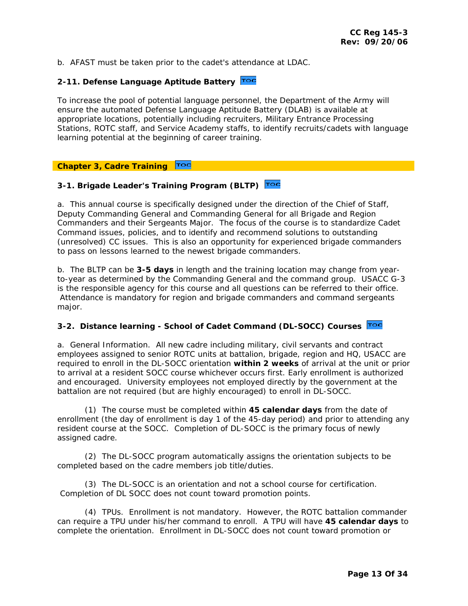<span id="page-12-0"></span>b. AFAST must be taken prior to the cadet's attendance at LDAC.

# **2-11. Defense Language Aptitude Battery**

To increase the pool of potential language personnel, the Department of the Army will ensure the automated Defense Language Aptitude Battery (DLAB) is available at appropriate locations, potentially including recruiters, Military Entrance Processing Stations, ROTC staff, and Service Academy staffs, to identify recruits/cadets with language learning potential at the beginning of career training.

#### TOC **Chapter 3, Cadre Training**

# **3-1. Brigade Leader's Training Program (BLTP)**

a. This annual course is specifically designed under the direction of the Chief of Staff, Deputy Commanding General and Commanding General for all Brigade and Region Commanders and their Sergeants Major. The focus of the course is to standardize Cadet Command issues, policies, and to identify and recommend solutions to outstanding (unresolved) CC issues. This is also an opportunity for experienced brigade commanders to pass on lessons learned to the newest brigade commanders.

b. The BLTP can be **3-5 days** in length and the training location may change from yearto-year as determined by the Commanding General and the command group. USACC G-3 is the responsible agency for this course and all questions can be referred to their office. Attendance is mandatory for region and brigade commanders and command sergeants major.

## **3-2. Distance learning - School of Cadet Command (DL-SOCC) Courses**

a. General Information. All new cadre including military, civil servants and contract employees assigned to senior ROTC units at battalion, brigade, region and HQ, USACC are required to enroll in the DL-SOCC orientation **within 2 weeks** of arrival at the unit or prior to arrival at a resident SOCC course whichever occurs first. Early enrollment is authorized and encouraged. University employees not employed directly by the government at the battalion are not required (but are highly encouraged) to enroll in DL-SOCC.

 (1) The course must be completed within **45 calendar days** from the date of enrollment (the day of enrollment is day 1 of the 45-day period) and prior to attending any resident course at the SOCC. Completion of DL-SOCC is the primary focus of newly assigned cadre.

 (2) The DL-SOCC program automatically assigns the orientation subjects to be completed based on the cadre members job title/duties.

 (3) The DL-SOCC is an orientation and not a school course for certification. Completion of DL SOCC does not count toward promotion points.

 (4) TPUs. Enrollment is not mandatory. However, the ROTC battalion commander can require a TPU under his/her command to enroll. A TPU will have **45 calendar days** to complete the orientation. Enrollment in DL-SOCC does not count toward promotion or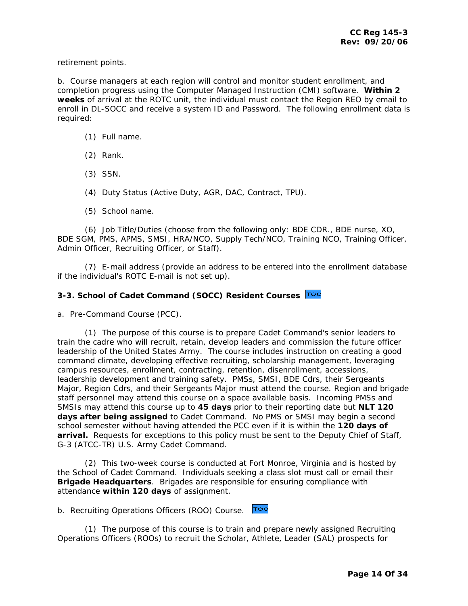<span id="page-13-0"></span>retirement points.

b. Course managers at each region will control and monitor student enrollment, and completion progress using the Computer Managed Instruction (CMI) software. **Within 2 weeks** of arrival at the ROTC unit, the individual must contact the Region REO by email to enroll in DL-SOCC and receive a system ID and Password. The following enrollment data is required:

- (1) Full name.
- (2) Rank.
- (3) SSN.
- (4) Duty Status (Active Duty, AGR, DAC, Contract, TPU).
- (5) School name.

 (6) Job Title/Duties (choose from the following only: BDE CDR., BDE nurse, XO, BDE SGM, PMS, APMS, SMSI, HRA/NCO, Supply Tech/NCO, Training NCO, Training Officer, Admin Officer, Recruiting Officer, or Staff).

 (7) E-mail address (provide an address to be entered into the enrollment database if the individual's ROTC E-mail is not set up).

# **3-3. School of Cadet Command (SOCC) Resident Courses**

a. Pre-Command Course (PCC).

 (1) The purpose of this course is to prepare Cadet Command's senior leaders to train the cadre who will recruit, retain, develop leaders and commission the future officer leadership of the United States Army. The course includes instruction on creating a good command climate, developing effective recruiting, scholarship management, leveraging campus resources, enrollment, contracting, retention, disenrollment, accessions, leadership development and training safety. PMSs, SMSI, BDE Cdrs, their Sergeants Major, Region Cdrs, and their Sergeants Major must attend the course. Region and brigade staff personnel may attend this course on a space available basis. Incoming PMSs and SMSIs may attend this course up to **45 days** prior to their reporting date but **NLT 120 days after being assigned** to Cadet Command. No PMS or SMSI may begin a second school semester without having attended the PCC even if it is within the **120 days of arrival.** Requests for exceptions to this policy must be sent to the Deputy Chief of Staff, G-3 (ATCC-TR) U.S. Army Cadet Command.

 (2) This two-week course is conducted at Fort Monroe, Virginia and is hosted by the School of Cadet Command. Individuals seeking a class slot must call or email their **Brigade Headquarters**. Brigades are responsible for ensuring compliance with attendance **within 120 days** of assignment.

b. Recruiting Operations Officers (ROO) Course. Toc

 (1) The purpose of this course is to train and prepare newly assigned Recruiting Operations Officers (ROOs) to recruit the Scholar, Athlete, Leader (SAL) prospects for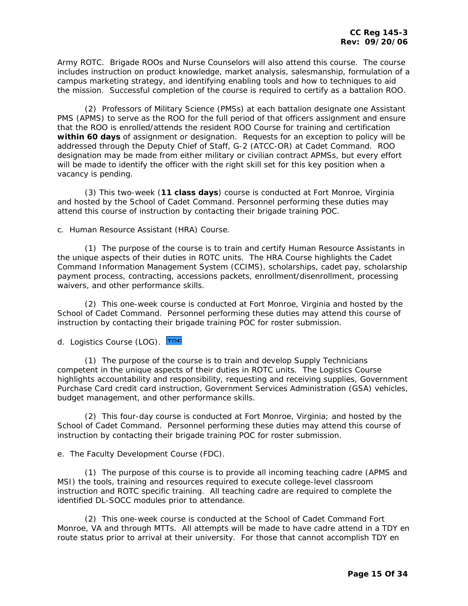Army ROTC. Brigade ROOs and Nurse Counselors will also attend this course. The course includes instruction on product knowledge, market analysis, salesmanship, formulation of a campus marketing strategy, and identifying enabling tools and how to techniques to aid the mission. Successful completion of the course is required to certify as a battalion ROO.

 (2) Professors of Military Science (PMSs) at each battalion designate one Assistant PMS (APMS) to serve as the ROO for the full period of that officers assignment and ensure that the ROO is enrolled/attends the resident ROO Course for training and certification **within 60 days** of assignment or designation. Requests for an exception to policy will be addressed through the Deputy Chief of Staff, G-2 (ATCC-OR) at Cadet Command. ROO designation may be made from either military or civilian contract APMSs, but every effort will be made to identify the officer with the right skill set for this key position when a vacancy is pending.

 (3) This two-week (**11 class days**) course is conducted at Fort Monroe, Virginia and hosted by the School of Cadet Command. Personnel performing these duties may attend this course of instruction by contacting their brigade training POC.

c. Human Resource Assistant (HRA) Course.

 (1) The purpose of the course is to train and certify Human Resource Assistants in the unique aspects of their duties in ROTC units. The HRA Course highlights the Cadet Command Information Management System (CCIMS), scholarships, cadet pay, scholarship payment process, contracting, accessions packets, enrollment/disenrollment, processing waivers, and other performance skills.

 (2) This one-week course is conducted at Fort Monroe, Virginia and hosted by the School of Cadet Command. Personnel performing these duties may attend this course of instruction by contacting their brigade training POC for roster submission.

d.Logistics Course (LOG). Toc

 (1) The purpose of the course is to train and develop Supply Technicians competent in the unique aspects of their duties in ROTC units. The Logistics Course highlights accountability and responsibility, requesting and receiving supplies, Government Purchase Card credit card instruction, Government Services Administration (GSA) vehicles, budget management, and other performance skills.

 (2) This four-day course is conducted at Fort Monroe, Virginia; and hosted by the School of Cadet Command. Personnel performing these duties may attend this course of instruction by contacting their brigade training POC for roster submission.

e. The Faculty Development Course (FDC).

 (1) The purpose of this course is to provide all incoming teaching cadre (APMS and MSI) the tools, training and resources required to execute college-level classroom instruction and ROTC specific training. All teaching cadre are required to complete the identified DL-SOCC modules prior to attendance.

 (2) This one-week course is conducted at the School of Cadet Command Fort Monroe, VA and through MTTs. All attempts will be made to have cadre attend in a TDY en route status prior to arrival at their university. For those that cannot accomplish TDY en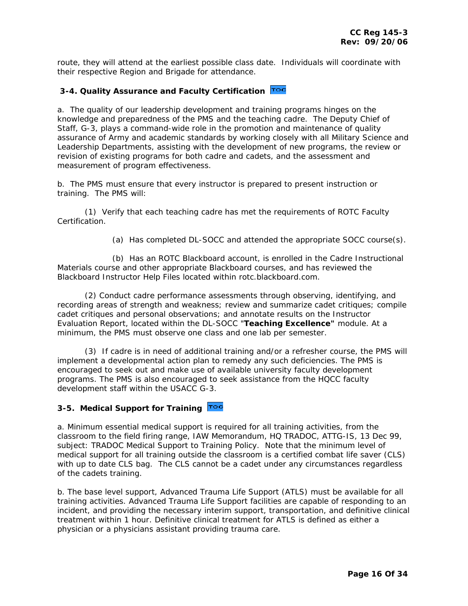<span id="page-15-0"></span>route, they will attend at the earliest possible class date. Individuals will coordinate with their respective Region and Brigade for attendance.

# **3-4. Quality Assurance and Faculty Certification**

a. The quality of our leadership development and training programs hinges on the knowledge and preparedness of the PMS and the teaching cadre. The Deputy Chief of Staff, G-3, plays a command-wide role in the promotion and maintenance of quality assurance of Army and academic standards by working closely with all Military Science and Leadership Departments, assisting with the development of new programs, the review or revision of existing programs for both cadre and cadets, and the assessment and measurement of program effectiveness.

b. The PMS must ensure that every instructor is prepared to present instruction or training. The PMS will:

 (1) Verify that each teaching cadre has met the requirements of ROTC Faculty Certification.

(a) Has completed DL-SOCC and attended the appropriate SOCC course(s).

 (b) Has an ROTC Blackboard account, is enrolled in the Cadre Instructional Materials course and other appropriate Blackboard courses, and has reviewed the Blackboard Instructor Help Files located within rotc.blackboard.com.

 (2) Conduct cadre performance assessments through observing, identifying, and recording areas of strength and weakness; review and summarize cadet critiques; compile cadet critiques and personal observations; and annotate results on the Instructor Evaluation Report, located within the DL-SOCC "**Teaching Excellence"** module. At a minimum, the PMS must observe one class and one lab per semester.

 (3) If cadre is in need of additional training and/or a refresher course, the PMS will implement a developmental action plan to remedy any such deficiencies. The PMS is encouraged to seek out and make use of available university faculty development programs. The PMS is also encouraged to seek assistance from the HQCC faculty development staff within the USACC G-3.

#### **3-5. Medical Support for Training**

a. Minimum essential medical support is required for all training activities, from the classroom to the field firing range, IAW Memorandum, HQ TRADOC, ATTG-IS, 13 Dec 99, subject: TRADOC Medical Support to Training Policy. Note that the minimum level of medical support for all training outside the classroom is a certified combat life saver (CLS) with up to date CLS bag. The CLS cannot be a cadet under any circumstances regardless of the cadets training.

b. The base level support, Advanced Trauma Life Support (ATLS) must be available for all training activities. Advanced Trauma Life Support facilities are capable of responding to an incident, and providing the necessary interim support, transportation, and definitive clinical treatment within 1 hour. Definitive clinical treatment for ATLS is defined as either a physician or a physicians assistant providing trauma care.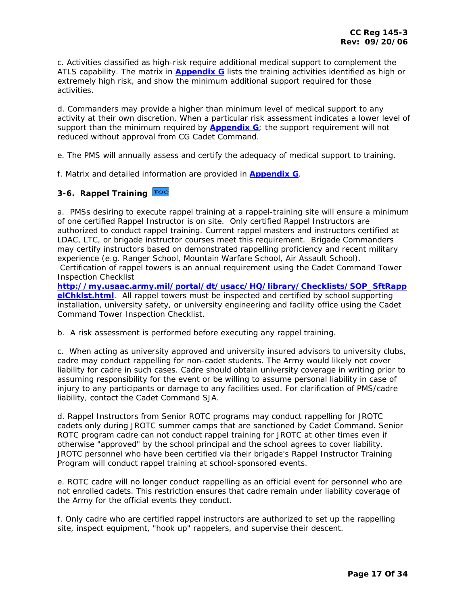<span id="page-16-0"></span>c. Activities classified as high-risk require additional medical support to complement the ATLS capability. The matrix in **[Appendix G](http://my.usaac.army.mil/downloads/usacc/HQ/library/CC_Regulations/145-3/AP_G_CCR_145_3.doc)** lists the training activities identified as high or extremely high risk, and show the minimum additional support required for those activities.

d. Commanders may provide a higher than minimum level of medical support to any activity at their own discretion. When a particular risk assessment indicates a lower level of support than the minimum required by **[Appendix G](http://my.usaac.army.mil/downloads/usacc/HQ/library/CC_Regulations/145-3/AP_G_CCR_145_3.doc)**; the support requirement will not reduced without approval from CG Cadet Command.

e. The PMS will annually assess and certify the adequacy of medical support to training.

f. Matrix and detailed information are provided in **[Appendix G](http://my.usaac.army.mil/downloads/usacc/HQ/library/CC_Regulations/145-3/AP_G_CCR_145_3.doc)**.

# **3-6. Rappel Training**

a. PMSs desiring to execute rappel training at a rappel-training site will ensure a minimum of one certified Rappel Instructor is on site. Only certified Rappel Instructors are authorized to conduct rappel training. Current rappel masters and instructors certified at LDAC, LTC, or brigade instructor courses meet this requirement. Brigade Commanders may certify instructors based on demonstrated rappelling proficiency and recent military experience (e.g. Ranger School, Mountain Warfare School, Air Assault School). Certification of rappel towers is an annual requirement using the Cadet Command Tower Inspection Checklist

**[http://my.usaac.army.mil/portal/dt/usacc/HQ/library/Checklists/SOP\\_SftRapp](http://my.usaac.army.mil/portal/dt/usacc/HQ/library/Checklists/SOP_SftRappelChklst.html) [elChklst.html](http://my.usaac.army.mil/portal/dt/usacc/HQ/library/Checklists/SOP_SftRappelChklst.html)**. All rappel towers must be inspected and certified by school supporting installation, university safety, or university engineering and facility office using the Cadet Command Tower Inspection Checklist.

b. A risk assessment is performed before executing any rappel training.

c. When acting as university approved and university insured advisors to university clubs, cadre may conduct rappelling for non-cadet students. The Army would likely not cover liability for cadre in such cases. Cadre should obtain university coverage in writing prior to assuming responsibility for the event or be willing to assume personal liability in case of injury to any participants or damage to any facilities used. For clarification of PMS/cadre liability, contact the Cadet Command SJA.

d. Rappel Instructors from Senior ROTC programs may conduct rappelling for JROTC cadets only during JROTC summer camps that are sanctioned by Cadet Command. Senior ROTC program cadre can not conduct rappel training for JROTC at other times even if otherwise "approved" by the school principal and the school agrees to cover liability. JROTC personnel who have been certified via their brigade's Rappel Instructor Training Program will conduct rappel training at school-sponsored events.

e. ROTC cadre will no longer conduct rappelling as an official event for personnel who are not enrolled cadets. This restriction ensures that cadre remain under liability coverage of the Army for the official events they conduct.

f. Only cadre who are certified rappel instructors are authorized to set up the rappelling site, inspect equipment, "hook up" rappelers, and supervise their descent.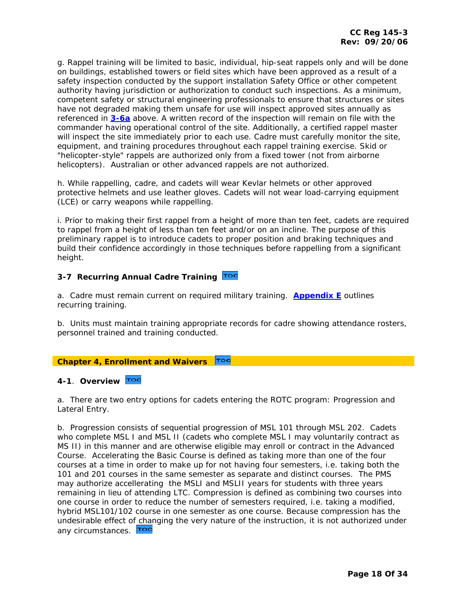<span id="page-17-0"></span>g. Rappel training will be limited to basic, individual, hip-seat rappels only and will be done on buildings, established towers or field sites which have been approved as a result of a safety inspection conducted by the support installation Safety Office or other competent authority having jurisdiction or authorization to conduct such inspections. As a minimum, competent safety or structural engineering professionals to ensure that structures or sites have not degraded making them unsafe for use will inspect approved sites annually as referenced in **[3-6a](#page-16-0)** above. A written record of the inspection will remain on file with the commander having operational control of the site. Additionally, a certified rappel master will inspect the site immediately prior to each use. Cadre must carefully monitor the site, equipment, and training procedures throughout each rappel training exercise. Skid or "helicopter-style" rappels are authorized only from a fixed tower (not from airborne helicopters). Australian or other advanced rappels are not authorized.

h. While rappelling, cadre, and cadets will wear Kevlar helmets or other approved protective helmets and use leather gloves. Cadets will not wear load-carrying equipment (LCE) or carry weapons while rappelling.

i. Prior to making their first rappel from a height of more than ten feet, cadets are required to rappel from a height of less than ten feet and/or on an incline. The purpose of this preliminary rappel is to introduce cadets to proper position and braking techniques and build their confidence accordingly in those techniques before rappelling from a significant height.

# **3-7 Recurring Annual Cadre Training**

a. Cadre must remain current on required military training. **[Appendix E](http://my.usaac.army.mil/downloads/usacc/HQ/library/CC_Regulations/145-3/AP_E_CCR_145_3.doc)** outlines recurring training.

b. Units must maintain training appropriate records for cadre showing attendance rosters, personnel trained and training conducted.

#### **Chapter 4, Enrollment and Waivers**  TOC

# **4-1**. **Overview**

a. There are two entry options for cadets entering the ROTC program: Progression and Lateral Entry.

b. Progression consists of sequential progression of MSL 101 through MSL 202. Cadets who complete MSL I and MSL II (cadets who complete MSL I may voluntarily contract as MS II) in this manner and are otherwise eligible may enroll or contract in the Advanced Course. Accelerating the Basic Course is defined as taking more than one of the four courses at a time in order to make up for not having four semesters, i.e. taking both the 101 and 201 courses in the same semester as separate and distinct courses. The PMS may authorize accellerating the MSLI and MSLII years for students with three years remaining in lieu of attending LTC. Compression is defined as combining two courses into one course in order to reduce the number of semesters required, i.e. taking a modified, hybrid MSL101/102 course in one semester as one course. Because compression has the undesirable effect o[f chan](#page-1-0)ging the very nature of the instruction, it is not authorized under any circumstances. Toc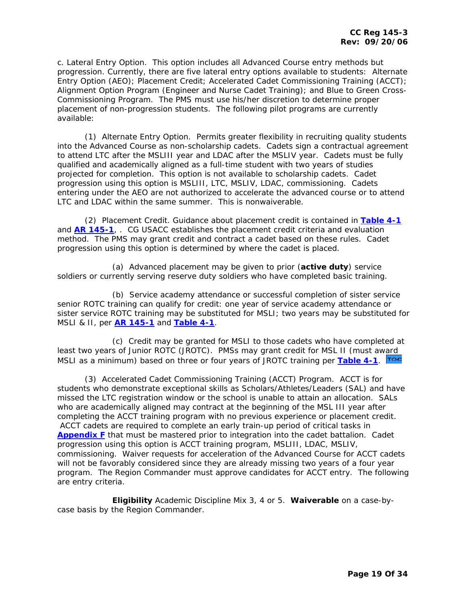c. Lateral Entry Option. This option includes all Advanced Course entry methods but progression. Currently, there are five lateral entry options available to students: Alternate Entry Option (AEO); Placement Credit; Accelerated Cadet Commissioning Training (ACCT); Alignment Option Program (Engineer and Nurse Cadet Training); and Blue to Green Cross-Commissioning Program. The PMS must use his/her discretion to determine proper placement of non-progression students. The following pilot programs are currently available:

 (1) Alternate Entry Option. Permits greater flexibility in recruiting quality students into the Advanced Course as non-scholarship cadets. Cadets sign a contractual agreement to attend LTC after the MSLIII year and LDAC after the MSLIV year. Cadets must be fully qualified and academically aligned as a full-time student with two years of studies projected for completion. This option is not available to scholarship cadets. Cadet progression using this option is MSLIII, LTC, MSLIV, LDAC, commissioning. Cadets entering under the AEO are not authorized to accelerate the advanced course or to attend LTC and LDAC within the same summer. This is nonwaiverable.

 (2) Placement Credit. Guidance about placement credit is contained in **[Table 4-1](#page-20-0)** and **[AR 145-1](http://www.army.mil/usapa/epubs/pdf/r145_1.pdf)**, . CG USACC establishes the placement credit criteria and evaluation method. The PMS may grant credit and contract a cadet based on these rules. Cadet progression using this option is determined by where the cadet is placed.

 (a) Advanced placement may be given to prior (**active duty**) service soldiers or currently serving reserve duty soldiers who have completed basic training.

 (b) Service academy attendance or successful completion of sister service senior ROTC training can qualify for credit: one year of service academy attendance or sister service ROTC training may be substituted for MSLI; two years may be substituted for MSLI & II, per **[AR 145-1](http://www.army.mil/usapa/epubs/pdf/r145_1.pdf)** and **Table 4-1**.

 (c) Credit may be granted for MSLI to those cadets who have completed at least two years of Junior ROTC (JROTC). PMSs may grant credit for MSL II (must a[ward](#page-1-0)  MSLI as a minimum) based on three or four years of JROTC training per **[Table 4-1](#page-20-0)**.

 (3) Accelerated Cadet Commissioning Training (ACCT) Program. ACCT is for students who demonstrate exceptional skills as Scholars/Athletes/Leaders (SAL) and have missed the LTC registration window or the school is unable to attain an allocation. SALs who are academically aligned may contract at the beginning of the MSL III year after completing the ACCT training program with no previous experience or placement credit. ACCT cadets are required to complete an early train-up period of critical tasks in **[Appendix F](http://my.usaac.army.mil/downloads/usacc/HQ/library/CC_Regulations/145-3/AP_F_CCR_145_3.doc)** that must be mastered prior to integration into the cadet battalion. Cadet progression using this option is ACCT training program, MSLIII, LDAC, MSLIV, commissioning. Waiver requests for acceleration of the Advanced Course for ACCT cadets will not be favorably considered since they are already missing two years of a four year program. The Region Commander must approve candidates for ACCT entry. The following are entry criteria.

 **Eligibility** Academic Discipline Mix 3, 4 or 5. **Waiverable** on a case-bycase basis by the Region Commander.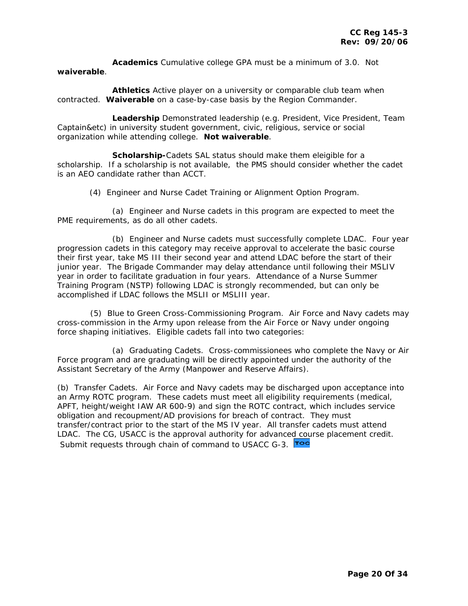**Academics** Cumulative college GPA must be a minimum of 3.0. Not **waiverable**.

 **Athletics** Active player on a university or comparable club team when contracted. **Waiverable** on a case-by-case basis by the Region Commander.

 **Leadership** Demonstrated leadership (e.g. President, Vice President, Team Captain&etc) in university student government, civic, religious, service or social organization while attending college. **Not waiverable**.

 **Scholarship-**Cadets SAL status should make them eleigible for a scholarship. If a scholarship is not available, the PMS should consider whether the cadet is an AEO candidate rather than ACCT.

(4) Engineer and Nurse Cadet Training or Alignment Option Program.

 (a) Engineer and Nurse cadets in this program are expected to meet the PME requirements, as do all other cadets.

 (b) Engineer and Nurse cadets must successfully complete LDAC. Four year progression cadets in this category may receive approval to accelerate the basic course their first year, take MS III their second year and attend LDAC before the start of their junior year. The Brigade Commander may delay attendance until following their MSLIV year in order to facilitate graduation in four years. Attendance of a Nurse Summer Training Program (NSTP) following LDAC is strongly recommended, but can only be accomplished if LDAC follows the MSLII or MSLIII year.

 (5) Blue to Green Cross-Commissioning Program. Air Force and Navy cadets may cross-commission in the Army upon release from the Air Force or Navy under ongoing force shaping initiatives. Eligible cadets fall into two categories:

 (a) Graduating Cadets. Cross-commissionees who complete the Navy or Air Force program and are graduating will be directly appointed under the authority of the Assistant Secretary of the Army (Manpower and Reserve Affairs).

(b) Transfer Cadets. Air Force and Navy cadets may be discharged upon acceptance into an Army ROTC program. These cadets must meet all eligibility requirements (medical, APFT, height/weight IAW AR 600-9) and sign the ROTC contract, which includes service obligation and recoupment/AD provisions for breach of contract. They must transfer/contract prior to the start of the MS IV year. All transfer cadets must attend LDAC. The CG, USACC is the approval authority for advance[d cou](#page-1-0)rse placement credit. Submit requests through chain of command to USACC G-3. Toc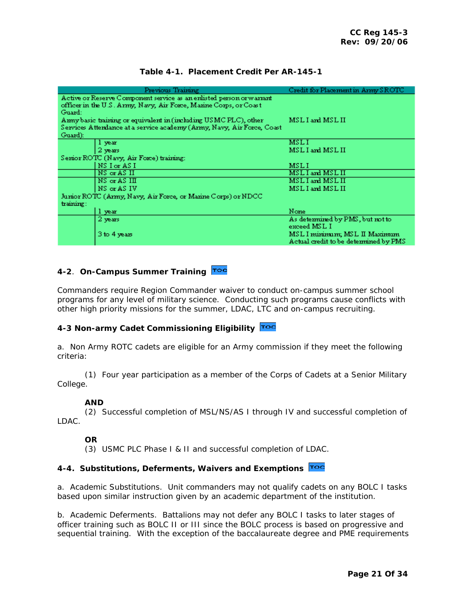<span id="page-20-0"></span>

|  | Table 4-1. Placement Credit Per AR-145-1 |  |  |
|--|------------------------------------------|--|--|
|--|------------------------------------------|--|--|

| Previous Training                                                                                                                                   | Credit for Placement in Army SROTC                                     |
|-----------------------------------------------------------------------------------------------------------------------------------------------------|------------------------------------------------------------------------|
| Active or Reserve Component service as an enlisted person or warrant<br>officer in the U.S. Army, Navy, Air Force, Marine Corps, or Coast<br>Guard: |                                                                        |
| Amiy basic training or equivalent in (including USMC PLC), other<br>Services Attendance at a service academy (Army, Navy, Air Force, Coast          | MSL I and MSL II                                                       |
| Guard):                                                                                                                                             |                                                                        |
| 1 year                                                                                                                                              | <b>MSLI</b>                                                            |
| 2 vears                                                                                                                                             | MSL I and MSL II                                                       |
| Serior ROTC (Navy, Air Force) training:                                                                                                             |                                                                        |
| NS I or AS I                                                                                                                                        | <b>MSLI</b>                                                            |
| NS or AS II                                                                                                                                         | MSLI and MSLII                                                         |
| NS or AS III                                                                                                                                        | MSL I and MSL II                                                       |
| NS or AS IV                                                                                                                                         | MSL I and MSL II                                                       |
| Junior ROTC (Army, Navy, Air Force, or Manne Corps) or NDCC                                                                                         |                                                                        |
| training:                                                                                                                                           |                                                                        |
| 1 year                                                                                                                                              | None                                                                   |
| 2 years                                                                                                                                             | As determined by PMS, but not to<br>exceed MSL I                       |
| 3 to 4 years                                                                                                                                        | MSL I minimum; MSL II Maximum<br>Actual credit to be determined by PMS |

# **4-2**. **On-Campus Summer Training**

Commanders require Region Commander waiver to conduct on-campus summer school programs for any level of military science. Conducting such programs cause conflicts with other high priority missions for the summer, LDAC, LTC and on-campus recruiting.

# **4-3 Non-army Cadet Commissioning Eligibility**

a. Non Army ROTC cadets are eligible for an Army commission if they meet the following criteria:

 (1) Four year participation as a member of the Corps of Cadets at a Senior Military College.

# **AND**

 (2) Successful completion of MSL/NS/AS I through IV and successful completion of LDAC.

# **OR**

(3) USMC PLC Phase I & II and successful completion of LDAC.

# **4-4. Substitutions, Deferments, Waivers and Exemptions**

a. Academic Substitutions. Unit commanders may not qualify cadets on any BOLC I tasks based upon similar instruction given by an academic department of the institution.

b. Academic Deferments. Battalions may not defer any BOLC I tasks to later stages of officer training such as BOLC II or III since the BOLC process is based on progressive and sequential training. With the exception of the baccalaureate degree and PME requirements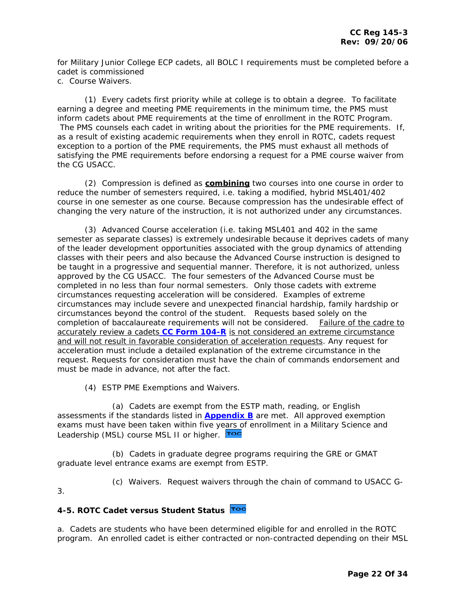<span id="page-21-0"></span>for Military Junior College ECP cadets, all BOLC I requirements must be completed before a cadet is commissioned

c. Course Waivers.

 (1) Every cadets first priority while at college is to obtain a degree. To facilitate earning a degree and meeting PME requirements in the minimum time, the PMS must inform cadets about PME requirements at the time of enrollment in the ROTC Program. The PMS counsels each cadet in writing about the priorities for the PME requirements. If, as a result of existing academic requirements when they enroll in ROTC, cadets request exception to a portion of the PME requirements, the PMS must exhaust all methods of satisfying the PME requirements before endorsing a request for a PME course waiver from the CG USACC.

 (2) Compression is defined as **combining** two courses into one course in order to reduce the number of semesters required, i.e. taking a modified, hybrid MSL401/402 course in one semester as one course. Because compression has the undesirable effect of changing the very nature of the instruction, it is not authorized under any circumstances.

 (3) Advanced Course acceleration (i.e. taking MSL401 and 402 in the same semester as separate classes) is extremely undesirable because it deprives cadets of many of the leader development opportunities associated with the group dynamics of attending classes with their peers and also because the Advanced Course instruction is designed to be taught in a progressive and sequential manner. Therefore, it is not authorized, unless approved by the CG USACC. The four semesters of the Advanced Course must be completed in no less than four normal semesters. Only those cadets with extreme circumstances requesting acceleration will be considered. Examples of extreme circumstances may include severe and unexpected financial hardship, family hardship or circumstances beyond the control of the student. Requests based solely on the completion of baccalaureate requirements will not be considered. Failure of the cadre to accurately review a cadets **[CC Form 104-R](http://my.usaac.army.mil/downloads/usacc/HQ/library/Forms/CC_Form104-R.xls)** is not considered an extreme circumstance and will not result in favorable consideration of acceleration requests. Any request for acceleration must include a detailed explanation of the extreme circumstance in the request. Requests for consideration must have the chain of commands endorsement and must be made in advance, not after the fact.

(4) ESTP PME Exemptions and Waivers.

 (a) Cadets are exempt from the ESTP math, reading, or English assessments if the standards listed in **[Appendix B](http://my.usaac.army.mil/downloads/usacc/HQ/library/CC_Regulations/145-3/AP_B_CCR_145_3.doc)** are met. All approved exemption exams must have been taken within five y[ears o](#page-1-0)f enrollment in a Military Science and Leadership (MSL) course MSL II or higher. Toc

 (b) Cadets in graduate degree programs requiring the GRE or GMAT graduate level entrance exams are exempt from ESTP.

3.

(c) Waivers. Request waivers through the chain of command to USACC G-

# **4-5. ROTC Cadet versus Student Status**

a. Cadets are students who have been determined eligible for and enrolled in the ROTC program. An enrolled cadet is either contracted or non-contracted depending on their MSL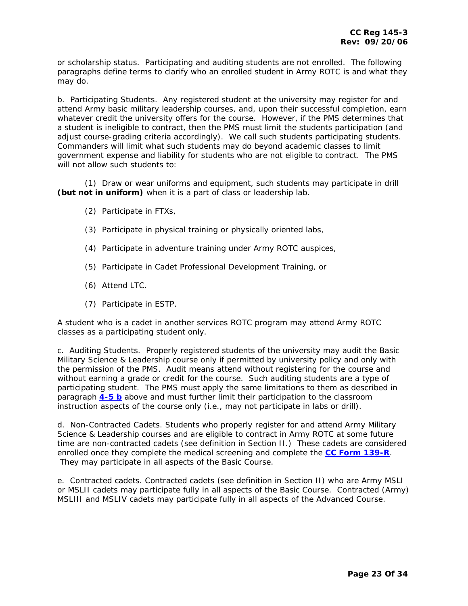<span id="page-22-0"></span>or scholarship status. Participating and auditing students are not enrolled. The following paragraphs define terms to clarify who an enrolled student in Army ROTC is and what they may do.

b. Participating Students. Any registered student at the university may register for and attend Army basic military leadership courses, and, upon their successful completion, earn whatever credit the university offers for the course. However, if the PMS determines that a student is ineligible to contract, then the PMS must limit the students participation (and adjust course-grading criteria accordingly). We call such students participating students. Commanders will limit what such students may do beyond academic classes to limit government expense and liability for students who are not eligible to contract. The PMS will not allow such students to:

 (1) Draw or wear uniforms and equipment, such students may participate in drill **(but not in uniform)** when it is a part of class or leadership lab.

- (2) Participate in FTXs,
- (3) Participate in physical training or physically oriented labs,
- (4) Participate in adventure training under Army ROTC auspices,
- (5) Participate in Cadet Professional Development Training, or
- (6) Attend LTC.
- (7) Participate in ESTP.

A student who is a cadet in another services ROTC program may attend Army ROTC classes as a participating student only.

c. Auditing Students. Properly registered students of the university may audit the Basic Military Science & Leadership course only if permitted by university policy and only with the permission of the PMS. Audit means attend without registering for the course and without earning a grade or credit for the course. Such auditing students are a type of participating student. The PMS must apply the same limitations to them as described in paragraph **[4-5 b](#page-22-0)** above and must further limit their participation to the classroom instruction aspects of the course only (i.e., may not participate in labs or drill).

d. Non-Contracted Cadets. Students who properly register for and attend Army Military Science & Leadership courses and are eligible to contract in Army ROTC at some future time are non-contracted cadets (see definition in Section II.) These cadets are considered enrolled once they complete the medical screening and complete the **[CC Form 139-R](http://my.usaac.army.mil/downloads/usacc/HQ/library/Forms/XFDL/cc139-locked.xfd)**. They may participate in all aspects of the Basic Course.

e. Contracted cadets. Contracted cadets (see definition in Section II) who are Army MSLI or MSLII cadets may participate fully in all aspects of the Basic Course. Contracted (Army) MSLIII and MSLIV cadets may participate fully in all aspects of the Advanced Course.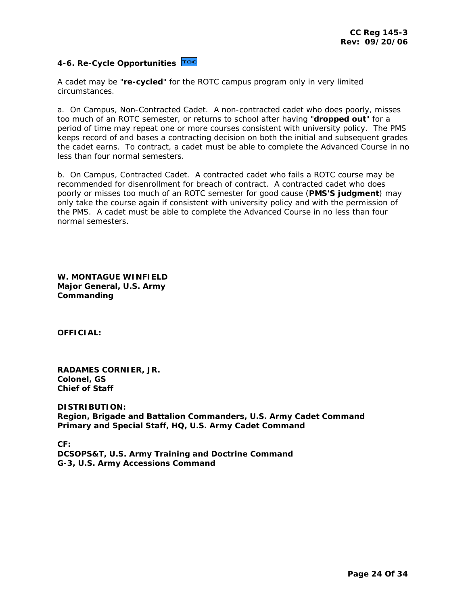# <span id="page-23-0"></span>**4-6. Re-Cycle Opportunities**

A cadet may be "**re-cycled**" for the ROTC campus program only in very limited circumstances.

a. On Campus, Non-Contracted Cadet. A non-contracted cadet who does poorly, misses too much of an ROTC semester, or returns to school after having "**dropped out**" for a period of time may repeat one or more courses consistent with university policy. The PMS keeps record of and bases a contracting decision on both the initial and subsequent grades the cadet earns. To contract, a cadet must be able to complete the Advanced Course in no less than four normal semesters.

b. On Campus, Contracted Cadet. A contracted cadet who fails a ROTC course may be recommended for disenrollment for breach of contract. A contracted cadet who does poorly or misses too much of an ROTC semester for good cause (**PMS'S judgment**) may only take the course again if consistent with university policy and with the permission of the PMS. A cadet must be able to complete the Advanced Course in no less than four normal semesters.

**W. MONTAGUE WINFIELD Major General, U.S. Army Commanding** 

**OFFICIAL:** 

**RADAMES CORNIER, JR. Colonel, GS Chief of Staff** 

**DISTRIBUTION: Region, Brigade and Battalion Commanders, U.S. Army Cadet Command Primary and Special Staff, HQ, U.S. Army Cadet Command** 

**CF: DCSOPS&T, U.S. Army Training and Doctrine Command G-3, U.S. Army Accessions Command**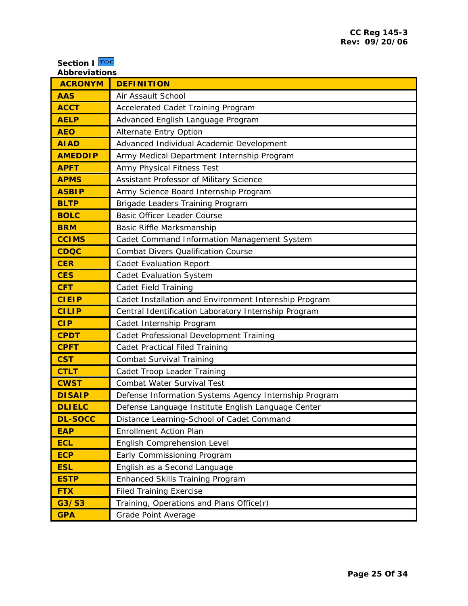<span id="page-24-0"></span>

| Section   Toc<br><b>Abbreviations</b> |                                                       |  |
|---------------------------------------|-------------------------------------------------------|--|
| <b>ACRONYM</b>                        | <b>DEFINITION</b>                                     |  |
| <b>AAS</b>                            | Air Assault School                                    |  |
| <b>ACCT</b>                           | Accelerated Cadet Training Program                    |  |
| <b>AELP</b>                           | Advanced English Language Program                     |  |
| <b>AEO</b>                            | Alternate Entry Option                                |  |
| <b>AIAD</b>                           | Advanced Individual Academic Development              |  |
| <b>AMEDDIP</b>                        | Army Medical Department Internship Program            |  |
| <b>APFT</b>                           | Army Physical Fitness Test                            |  |
| <b>APMS</b>                           | Assistant Professor of Military Science               |  |
| <b>ASBIP</b>                          | Army Science Board Internship Program                 |  |
| <b>BLTP</b>                           | Brigade Leaders Training Program                      |  |
| <b>BOLC</b>                           | <b>Basic Officer Leader Course</b>                    |  |
| <b>BRM</b>                            | Basic Riffle Marksmanship                             |  |
| <b>CCIMS</b>                          | Cadet Command Information Management System           |  |
| <b>CDQC</b>                           | <b>Combat Divers Qualification Course</b>             |  |
| <b>CER</b>                            | <b>Cadet Evaluation Report</b>                        |  |
| <b>CES</b>                            | <b>Cadet Evaluation System</b>                        |  |
| <b>CFT</b>                            | <b>Cadet Field Training</b>                           |  |
| <b>CIEIP</b>                          | Cadet Installation and Environment Internship Program |  |
| <b>CILIP</b>                          | Central Identification Laboratory Internship Program  |  |
| <b>CIP</b>                            | Cadet Internship Program                              |  |
| <b>CPDT</b>                           | Cadet Professional Development Training               |  |
| <b>CPFT</b>                           | <b>Cadet Practical Filed Training</b>                 |  |
| <b>CST</b>                            | <b>Combat Survival Training</b>                       |  |
| <b>CTLT</b>                           | Cadet Troop Leader Training                           |  |
| <b>CWST</b>                           | Combat Water Survival Test                            |  |
| <b>DISAIP</b>                         | Defense Information Systems Agency Internship Program |  |
| <b>DLIELC</b>                         | Defense Language Institute English Language Center    |  |
| <b>DL-SOCC</b>                        | Distance Learning-School of Cadet Command             |  |
| <b>EAP</b>                            | <b>Enrollment Action Plan</b>                         |  |
| <b>ECL</b>                            | English Comprehension Level                           |  |
| <b>ECP</b>                            | Early Commissioning Program                           |  |
| <b>ESL</b>                            | English as a Second Language                          |  |
| <b>ESTP</b>                           | Enhanced Skills Training Program                      |  |
| <b>FTX</b>                            | <b>Filed Training Exercise</b>                        |  |
| G3/S3                                 | Training, Operations and Plans Office(r)              |  |
| <b>GPA</b>                            | Grade Point Average                                   |  |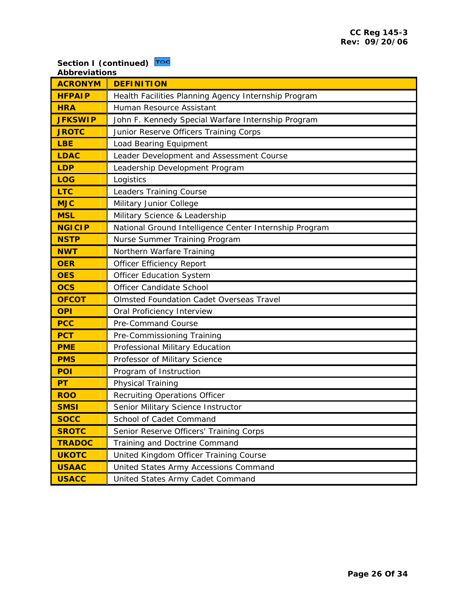# **Section I (continued)**

| <b>Abbreviations</b> |                                                        |  |
|----------------------|--------------------------------------------------------|--|
| <b>ACRONYM</b>       | <b>DEFINITION</b>                                      |  |
| <b>HFPAIP</b>        | Health Facilities Planning Agency Internship Program   |  |
| <b>HRA</b>           | Human Resource Assistant                               |  |
| <b>JFKSWIP</b>       | John F. Kennedy Special Warfare Internship Program     |  |
| <b>JROTC</b>         | Junior Reserve Officers Training Corps                 |  |
| <b>LBE</b>           | Load Bearing Equipment                                 |  |
| <b>LDAC</b>          | Leader Development and Assessment Course               |  |
| <b>LDP</b>           | Leadership Development Program                         |  |
| <b>LOG</b>           | Logistics                                              |  |
| <b>LTC</b>           | Leaders Training Course                                |  |
| <b>MJC</b>           | Military Junior College                                |  |
| <b>MSL</b>           | Military Science & Leadership                          |  |
| <b>NGICIP</b>        | National Ground Intelligence Center Internship Program |  |
| <b>NSTP</b>          | Nurse Summer Training Program                          |  |
| <b>NWT</b>           | Northern Warfare Training                              |  |
| <b>OER</b>           | <b>Officer Efficiency Report</b>                       |  |
| <b>OES</b>           | <b>Officer Education System</b>                        |  |
| <b>OCS</b>           | Officer Candidate School                               |  |
| <b>OFCOT</b>         | <b>Olmsted Foundation Cadet Overseas Travel</b>        |  |
| <b>OPI</b>           | Oral Proficiency Interview                             |  |
| <b>PCC</b>           | Pre-Command Course                                     |  |
| <b>PCT</b>           | Pre-Commissioning Training                             |  |
| <b>PME</b>           | Professional Military Education                        |  |
| <b>PMS</b>           | Professor of Military Science                          |  |
| <b>POI</b>           | Program of Instruction                                 |  |
| <b>PT</b>            | Physical Training                                      |  |
| <b>ROO</b>           | <b>Recruiting Operations Officer</b>                   |  |
| <b>SMSI</b>          | Senior Military Science Instructor                     |  |
| <b>SOCC</b>          | School of Cadet Command                                |  |
| <b>SROTC</b>         | Senior Reserve Officers' Training Corps                |  |
| <b>TRADOC</b>        | Training and Doctrine Command                          |  |
| <b>UKOTC</b>         | United Kingdom Officer Training Course                 |  |
| <b>USAAC</b>         | United States Army Accessions Command                  |  |
| <b>USACC</b>         | United States Army Cadet Command                       |  |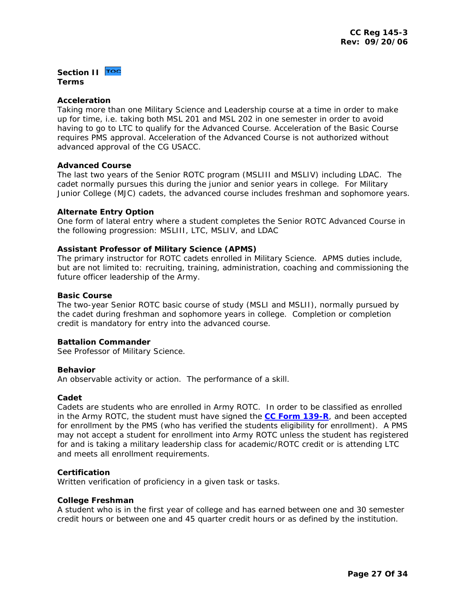# <span id="page-26-0"></span>**Section II TOC Terms**

## **Acceleration**

Taking more than one Military Science and Leadership course at a time in order to make up for time, i.e. taking both MSL 201 and MSL 202 in one semester in order to avoid having to go to LTC to qualify for the Advanced Course. Acceleration of the Basic Course requires PMS approval. Acceleration of the Advanced Course is not authorized without advanced approval of the CG USACC.

## **Advanced Course**

The last two years of the Senior ROTC program (MSLIII and MSLIV) including LDAC. The cadet normally pursues this during the junior and senior years in college. For Military Junior College (MJC) cadets, the advanced course includes freshman and sophomore years.

## **Alternate Entry Option**

One form of lateral entry where a student completes the Senior ROTC Advanced Course in the following progression: MSLIII, LTC, MSLIV, and LDAC

## **Assistant Professor of Military Science (APMS)**

The primary instructor for ROTC cadets enrolled in Military Science. APMS duties include, but are not limited to: recruiting, training, administration, coaching and commissioning the future officer leadership of the Army.

# **Basic Course**

The two-year Senior ROTC basic course of study (MSLI and MSLII), normally pursued by the cadet during freshman and sophomore years in college. Completion or completion credit is mandatory for entry into the advanced course.

#### **Battalion Commander**

See Professor of Military Science.

#### **Behavior**

An observable activity or action. The performance of a skill.

#### **Cadet**

Cadets are students who are enrolled in Army ROTC. In order to be classified as enrolled in the Army ROTC, the student must have signed the **[CC Form 139-R](http://my.usaac.army.mil/downloads/usacc/HQ/library/Forms/XFDL/cc139-locked.xfd)**, and been accepted for enrollment by the PMS (who has verified the students eligibility for enrollment). A PMS may not accept a student for enrollment into Army ROTC unless the student has registered for and is taking a military leadership class for academic/ROTC credit or is attending LTC and meets all enrollment requirements.

# **Certification**

Written verification of proficiency in a given task or tasks.

#### **College Freshman**

A student who is in the first year of college and has earned between one and 30 semester credit hours or between one and 45 quarter credit hours or as defined by the institution.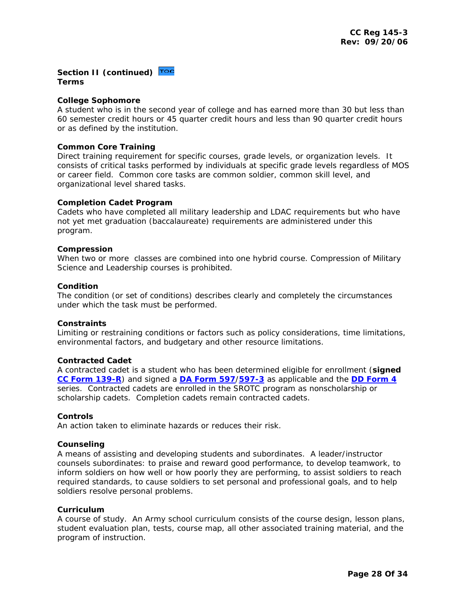**Section II (continued) Toc Terms** 

#### **College Sophomore**

A student who is in the second year of college and has earned more than 30 but less than 60 semester credit hours or 45 quarter credit hours and less than 90 quarter credit hours or as defined by the institution.

## **Common Core Training**

Direct training requirement for specific courses, grade levels, or organization levels. It consists of critical tasks performed by individuals at specific grade levels regardless of MOS or career field. Common core tasks are common soldier, common skill level, and organizational level shared tasks.

#### **Completion Cadet Program**

Cadets who have completed all military leadership and LDAC requirements but who have not yet met graduation (baccalaureate) requirements are administered under this program.

#### **Compression**

When two or more classes are combined into one hybrid course. Compression of Military Science and Leadership courses is prohibited.

#### **Condition**

The condition (or set of conditions) describes clearly and completely the circumstances under which the task must be performed.

#### **Constraints**

Limiting or restraining conditions or factors such as policy considerations, time limitations, environmental factors, and budgetary and other resource limitations.

#### **Contracted Cadet**

A contracted cadet is a student who has been determined eligible for enrollment (**signed [CC Form 139-R](http://my.usaac.army.mil/downloads/usacc/HQ/library/Forms/XFDL/cc139-locked.xfd)**) and signed a **[DA Form 597](http://www.army.mil/usapa/eforms/pureEdge/A597.XFDL)**/**[597-3](http://www.army.mil/usapa/eforms/pdf/A597_3.PDF)** as applicable and the **[DD Form 4](http://www.dtic.mil/whs/directives/infomgt/forms/eforms/dd0004.pdf)** series. Contracted cadets are enrolled in the SROTC program as nonscholarship or scholarship cadets. Completion cadets remain contracted cadets.

#### **Controls**

An action taken to eliminate hazards or reduces their risk.

#### **Counseling**

A means of assisting and developing students and subordinates. A leader/instructor counsels subordinates: to praise and reward good performance, to develop teamwork, to inform soldiers on how well or how poorly they are performing, to assist soldiers to reach required standards, to cause soldiers to set personal and professional goals, and to help soldiers resolve personal problems.

#### **Curriculum**

A course of study. An Army school curriculum consists of the course design, lesson plans, student evaluation plan, tests, course map, all other associated training material, and the program of instruction.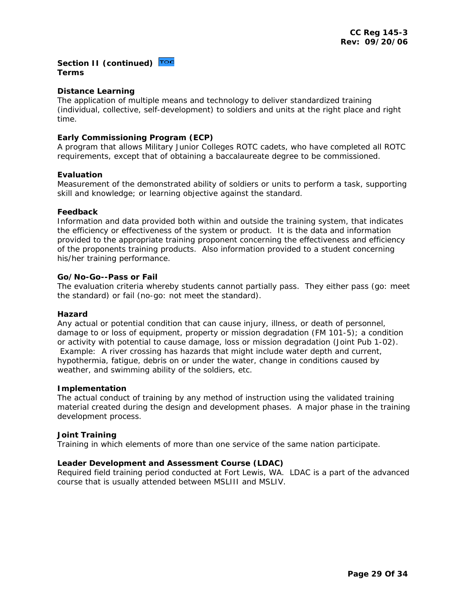# Section II (continued) **Toc Terms**

# **Distance Learning**

The application of multiple means and technology to deliver standardized training (individual, collective, self-development) to soldiers and units at the right place and right time.

# **Early Commissioning Program (ECP)**

A program that allows Military Junior Colleges ROTC cadets, who have completed all ROTC requirements, except that of obtaining a baccalaureate degree to be commissioned.

## **Evaluation**

Measurement of the demonstrated ability of soldiers or units to perform a task, supporting skill and knowledge; or learning objective against the standard.

#### **Feedback**

Information and data provided both within and outside the training system, that indicates the efficiency or effectiveness of the system or product. It is the data and information provided to the appropriate training proponent concerning the effectiveness and efficiency of the proponents training products. Also information provided to a student concerning his/her training performance.

# **Go/No-Go--Pass or Fail**

The evaluation criteria whereby students cannot partially pass. They either pass (go: meet the standard) or fail (no-go: not meet the standard).

#### **Hazard**

Any actual or potential condition that can cause injury, illness, or death of personnel, damage to or loss of equipment, property or mission degradation (FM 101-5); a condition or activity with potential to cause damage, loss or mission degradation (Joint Pub 1-02). Example: A river crossing has hazards that might include water depth and current, hypothermia, fatigue, debris on or under the water, change in conditions caused by weather, and swimming ability of the soldiers, etc.

#### **Implementation**

The actual conduct of training by any method of instruction using the validated training material created during the design and development phases. A major phase in the training development process.

# **Joint Training**

Training in which elements of more than one service of the same nation participate.

#### **Leader Development and Assessment Course (LDAC)**

Required field training period conducted at Fort Lewis, WA. LDAC is a part of the advanced course that is usually attended between MSLIII and MSLIV.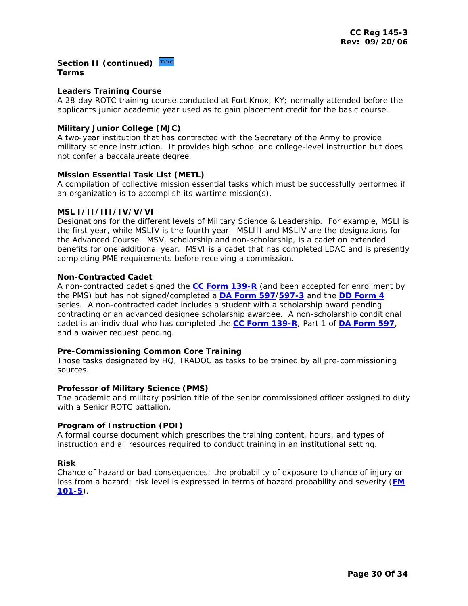# **Section II (continued) Terms**

## **Leaders Training Course**

A 28-day ROTC training course conducted at Fort Knox, KY; normally attended before the applicants junior academic year used as to gain placement credit for the basic course.

## **Military Junior College (MJC)**

A two-year institution that has contracted with the Secretary of the Army to provide military science instruction. It provides high school and college-level instruction but does not confer a baccalaureate degree.

#### **Mission Essential Task List (METL)**

A compilation of collective mission essential tasks which must be successfully performed if an organization is to accomplish its wartime mission(s).

## **MSL I/II/III/IV/V/VI**

Designations for the different levels of Military Science & Leadership. For example, MSLI is the first year, while MSLIV is the fourth year. MSLIII and MSLIV are the designations for the Advanced Course. MSV, scholarship and non-scholarship, is a cadet on extended benefits for one additional year. MSVI is a cadet that has completed LDAC and is presently completing PME requirements before receiving a commission.

## **Non-Contracted Cadet**

A non-contracted cadet signed the **[CC Form 139-R](http://my.usaac.army.mil/downloads/usacc/HQ/library/Forms/XFDL/cc139-locked.xfd)** (and been accepted for enrollment by the PMS) but has not signed/completed a **[DA Form 597](http://www.army.mil/usapa/eforms/pureEdge/A597.XFDL)**/**[597-3](http://www.army.mil/usapa/eforms/pdf/A597_3.PDF)** and the **[DD Form 4](http://www.dtic.mil/whs/directives/infomgt/forms/eforms/dd0004.pdf)** series. A non-contracted cadet includes a student with a scholarship award pending contracting or an advanced designee scholarship awardee. A non-scholarship conditional cadet is an individual who has completed the **[CC Form 139-R](http://my.usaac.army.mil/downloads/usacc/HQ/library/Forms/XFDL/cc139-locked.xfd)**, Part 1 of **[DA Form 597](http://www.army.mil/usapa/eforms/pureEdge/A597.XFDL)**, and a waiver request pending.

# **Pre-Commissioning Common Core Training**

Those tasks designated by HQ, TRADOC as tasks to be trained by all pre-commissioning sources.

#### **Professor of Military Science (PMS)**

The academic and military position title of the senior commissioned officer assigned to duty with a Senior ROTC battalion.

#### **Program of Instruction (POI)**

A formal course document which prescribes the training content, hours, and types of instruction and all resources required to conduct training in an institutional setting.

#### **Risk**

Chance of hazard or bad consequences; the probability of exposure to chance of injury or loss from a hazard; risk level is expressed in terms of hazard probability and severity (**[FM](http://www.dtic.mil/doctrine/jel/service_pubs/101_5.pdf)  [101-5](http://www.dtic.mil/doctrine/jel/service_pubs/101_5.pdf)**).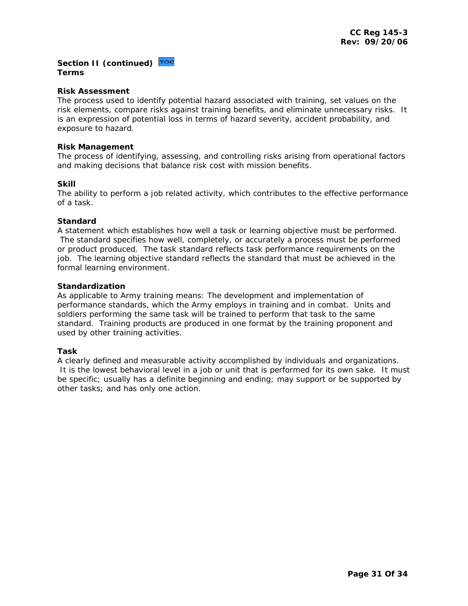# Section II (continued) **Toc Terms**

#### **Risk Assessment**

The process used to identify potential hazard associated with training, set values on the risk elements, compare risks against training benefits, and eliminate unnecessary risks. It is an expression of potential loss in terms of hazard severity, accident probability, and exposure to hazard.

#### **Risk Management**

The process of identifying, assessing, and controlling risks arising from operational factors and making decisions that balance risk cost with mission benefits.

## **Skill**

The ability to perform a job related activity, which contributes to the effective performance of a task.

## **Standard**

A statement which establishes how well a task or learning objective must be performed. The standard specifies how well, completely, or accurately a process must be performed or product produced. The task standard reflects task performance requirements on the job. The learning objective standard reflects the standard that must be achieved in the formal learning environment.

## **Standardization**

As applicable to Army training means: The development and implementation of performance standards, which the Army employs in training and in combat. Units and soldiers performing the same task will be trained to perform that task to the same standard. Training products are produced in one format by the training proponent and used by other training activities.

# **Task**

A clearly defined and measurable activity accomplished by individuals and organizations. It is the lowest behavioral level in a job or unit that is performed for its own sake. It must be specific; usually has a definite beginning and ending; may support or be supported by other tasks; and has only one action.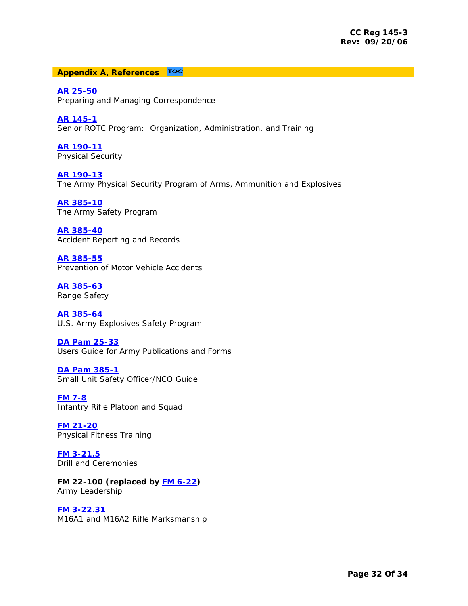#### <span id="page-31-0"></span>TOC **Appendix A, References**

**[AR 25-50](http://www.army.mil/usapa/epubs/pdf/r25_50.pdf)** Preparing and Managing Correspondence

**[AR 145-1](http://www.army.mil/usapa/epubs/pdf/r145_1.pdf)** Senior ROTC Program: Organization, Administration, and Training

**[AR 190-11](https://akocomm.us.army.mil/usapa/epubs/DR_pubs/DR_B/pdf/r190_11.pdf)** Physical Security

**[AR 190-13](http://www.army.mil/usapa/epubs/pdf/r190_13.pdf)** The Army Physical Security Program of Arms, Ammunition and Explosives

**[AR 385-10](http://www.army.mil/usapa/epubs/pdf/r385_10.pdf)** The Army Safety Program

**[AR 385-40](http://www.army.mil/usapa/epubs/pdf/p385_40.pdf)** Accident Reporting and Records

**[AR 385-55](http://www.usaac.army.mil/accw/div/safety/POV/AR%20385-55.pdf)** Prevention of Motor Vehicle Accidents

**[AR 385-63](http://www.army.mil/usapa/epubs/pdf/p385_63.pdf)** Range Safety

**[AR 385-64](http://www.army.mil/usapa/epubs/pdf/p385_64.pdf)** U.S. Army Explosives Safety Program

**[DA Pam 25-33](http://www.army.mil/usapa/epubs/pdf/p25_33.pdf)** Users Guide for Army Publications and Forms

**[DA Pam 385-1](http://www.army.mil/usapa/epubs/pdf/p385_1.pdf)** Small Unit Safety Officer/NCO Guide

**[FM 7-8](http://www.rotc.neu.edu/docs/FM_7-8.pdf)** Infantry Rifle Platoon and Squad

**[FM 21-20](https://akocomm.us.army.mil/usapa/doctrine/DR_pubs/dr_aa/pdf/fm21_20.pdf)** Physical Fitness Training

**[FM 3-21.5](https://akocomm.us.army.mil/usapa/doctrine/DR_pubs/dr_aa/pdf/fm3_21x5.pdf)** Drill and Ceremonies

**FM 22-100 (replaced by [FM 6-22\)](http://usacac.army.mil/CAC/CAL/FM6_22.pdf)**  Army Leadership

**[FM 3-22.31](https://akocomm.us.army.mil/usapa/doctrine/DR_pubs/dr_aa/pdf/fm3_22x31c1.pdf)** M16A1 and M16A2 Rifle Marksmanship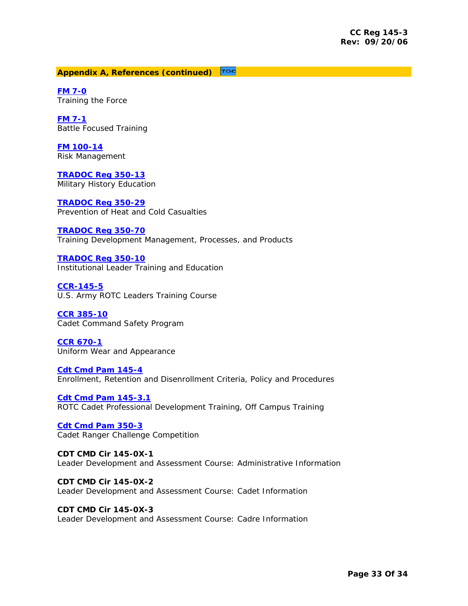# **Appendix A, References (continued)**

**[FM 7-0](https://akocomm.us.army.mil/usapa/doctrine/DR_pubs/dr_aa/pdf/fm7_0.pdf)** Training the Force

**[FM 7-1](https://akocomm.us.army.mil/usapa/doctrine/DR_pubs/dr_aa/pdf/fm7_1.pdf)** Battle Focused Training

**[FM 100-14](http://www.dtic.mil/doctrine/jel/service_pubs/100_14.pdf)** Risk Management

**[TRADOC Reg 350-13](http://www.tradoc.army.mil/tpubs/regs/r350-13.htm)** Military History Education

**[TRADOC Reg 350-29](http://www.tradoc.army.mil/tpubs/regs/r350-29.htm)** Prevention of Heat and Cold Casualties

# **[TRADOC Reg 350-70](http://www.tradoc.army.mil/tpubs/regs/r350-70/index.html)**

Training Development Management, Processes, and Products

**[TRADOC Reg 350-10](http://www.tradoc.army.mil/tpubs/regs/r350-10.htm)** Institutional Leader Training and Education

**[CCR-145-5](http://my.usaac.army.mil/portal/dt/usacc/HQ/library/CC_Regulations/)** U.S. Army ROTC Leaders Training Course

**[CCR 385-10](http://my.usaac.army.mil/portal/dt/usacc/HQ/library/CC_Regulations/)**  Cadet Command Safety Program

**[CCR 670-1](http://my.usaac.army.mil/portal/dt/usacc/HQ/library/CC_Regulations/)** Uniform Wear and Appearance

**[Cdt Cmd Pam 145-4](http://my.usaac.army.mil/portal/dt/usacc/HQ/library/CC_Pamphlets/CCPAM_145_4.htm)** Enrollment, Retention and Disenrollment Criteria, Policy and Procedures

**Cdt Cmd Pam 145-3.1** ROTC Cadet Professional Development Training, Off Campus Training

**[Cdt Cmd Pam 350-3](http://my.usaac.army.mil/portal/dt/usacc/HQ/library/CC_Pamphlets/CCPAM_350_3.htm)** Cadet Ranger Challenge Competition

**CDT CMD Cir 145-0X-1**  Leader Development and Assessment Course: Administrative Information

**CDT CMD Cir 145-0X-2**  Leader Development and Assessment Course: Cadet Information

**CDT CMD Cir 145-0X-3**  Leader Development and Assessment Course: Cadre Information